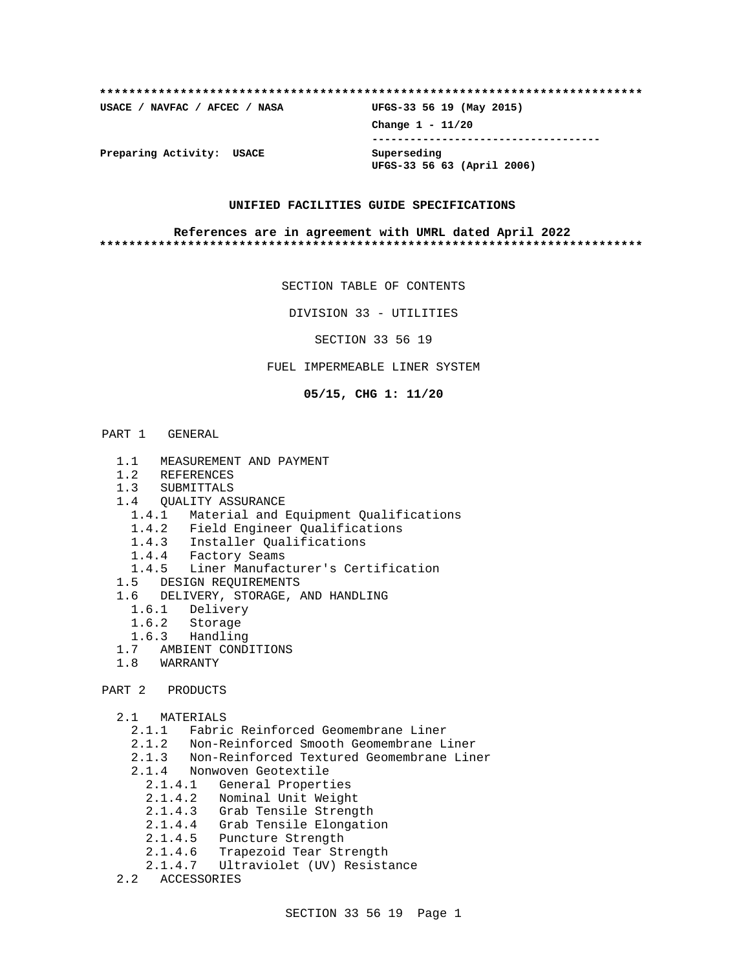#### **\*\*\*\*\*\*\*\*\*\*\*\*\*\*\*\*\*\*\*\*\*\*\*\*\*\*\*\*\*\*\*\*\*\*\*\*\*\*\*\*\*\*\*\*\*\*\*\*\*\*\*\*\*\*\*\*\*\*\*\*\*\*\*\*\*\*\*\*\*\*\*\*\*\***

**USACE / NAVFAC / AFCEC / NASA UFGS-33 56 19 (May 2015)**

**Change 1 - 11/20 ------------------------------------**

**UFGS-33 56 63 (April 2006)**

**Preparing Activity: USACE Superseding**

#### **UNIFIED FACILITIES GUIDE SPECIFICATIONS**

#### **References are in agreement with UMRL dated April 2022 \*\*\*\*\*\*\*\*\*\*\*\*\*\*\*\*\*\*\*\*\*\*\*\*\*\*\*\*\*\*\*\*\*\*\*\*\*\*\*\*\*\*\*\*\*\*\*\*\*\*\*\*\*\*\*\*\*\*\*\*\*\*\*\*\*\*\*\*\*\*\*\*\*\***

SECTION TABLE OF CONTENTS

DIVISION 33 - UTILITIES

SECTION 33 56 19

### FUEL IMPERMEABLE LINER SYSTEM

**05/15, CHG 1: 11/20**

#### PART 1 GENERAL

- 1.1 MEASUREMENT AND PAYMENT
- 1.2 REFERENCES
- 1.3 SUBMITTALS
- 1.4 QUALITY ASSURANCE
	- 1.4.1 Material and Equipment Qualifications
	- 1.4.2 Field Engineer Qualifications
	- 1.4.3 Installer Qualifications
	- 1.4.4 Factory Seams
- 1.4.5 Liner Manufacturer's Certification
- 1.5 DESIGN REQUIREMENTS
- 1.6 DELIVERY, STORAGE, AND HANDLING
	- 1.6.1 Delivery
	- 1.6.2 Storage
	- 1.6.3 Handling
- 1.7 AMBIENT CONDITIONS
- 1.8 WARRANTY

### PART 2 PRODUCTS

- 2.1 MATERIALS
- 2.1.1 Fabric Reinforced Geomembrane Liner
- 2.1.2 Non-Reinforced Smooth Geomembrane Liner
	- 2.1.3 Non-Reinforced Textured Geomembrane Liner
	- 2.1.4 Nonwoven Geotextile
		- 2.1.4.1 General Properties
		- 2.1.4.2 Nominal Unit Weight
		- 2.1.4.3 Grab Tensile Strength
		- 2.1.4.4 Grab Tensile Elongation
		- 2.1.4.5 Puncture Strength
		- 2.1.4.6 Trapezoid Tear Strength
		- 2.1.4.7 Ultraviolet (UV) Resistance
	- 2.2 ACCESSORIES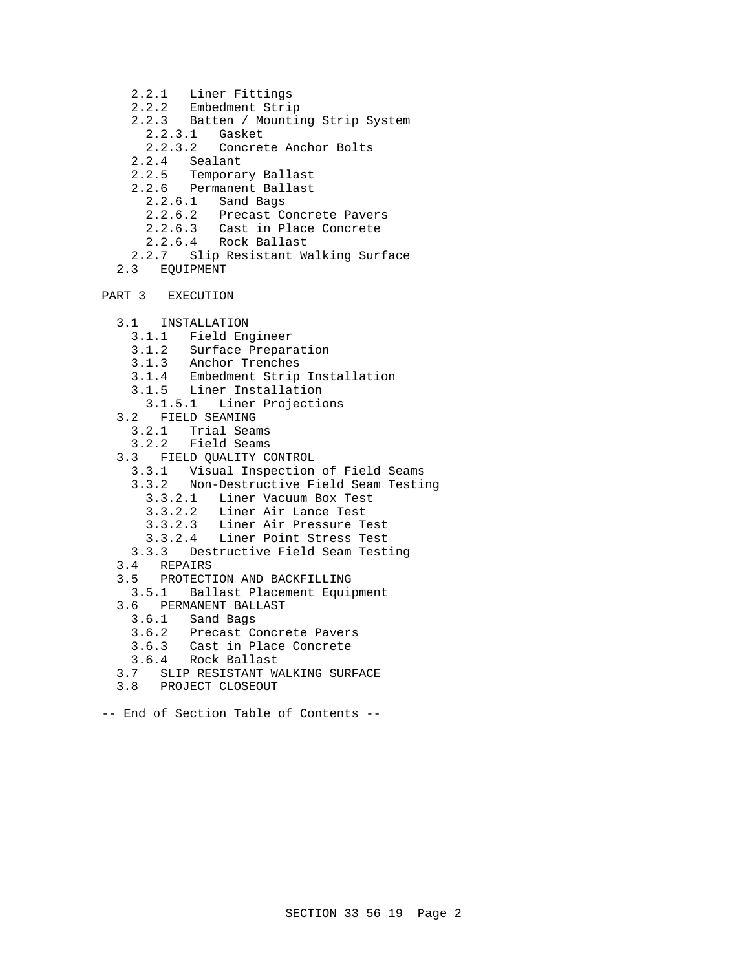- 2.2.1 Liner Fittings
- 2.2.2 Embedment Strip
- 2.2.3 Batten / Mounting Strip System
- 2.2.3.1 Gasket
	- Concrete Anchor Bolts
- 2.2.4 Sealant
- 2.2.5 Temporary Ballast
- 2.2.6 Permanent Ballast
	- 2.2.6.1 Sand Bags
	- 2.2.6.2 Precast Concrete Pavers
	- 2.2.6.3 Cast in Place Concrete
	- 2.2.6.4 Rock Ballast
	- 2.2.7 Slip Resistant Walking Surface
	- 2.3 EQUIPMENT

```
PART 3 EXECUTION
```
- 3.1 INSTALLATION
	- 3.1.1 Field Engineer
	- 3.1.2 Surface Preparation
	- 3.1.3 Anchor Trenches
	- 3.1.4 Embedment Strip Installation
	- 3.1.5 Liner Installation
	- 3.1.5.1 Liner Projections
- 3.2 FIELD SEAMING<br>3.2.1 Trial Sea
	- 3.2.1 Trial Seams
- 3.2.2 Field Seams
- 3.3 FIELD QUALITY CONTROL
- 3.3.1 Visual Inspection of Field Seams
- 3.3.2 Non-Destructive Field Seam Testing
- 3.3.2.1 Liner Vacuum Box Test
- 3.3.2.2 Liner Air Lance Test
	- 3.3.2.3 Liner Air Pressure Test
	- 3.3.2.4 Liner Point Stress Test
	- 3.3.3 Destructive Field Seam Testing
	- 3.4 REPAIRS
	- 3.5 PROTECTION AND BACKFILLING
	- 3.5.1 Ballast Placement Equipment
	- 3.6 PERMANENT BALLAST
		- 3.6.1 Sand Bags
		- 3.6.2 Precast Concrete Pavers
- 3.6.3 Cast in Place Concrete
- 3.6.4 Rock Ballast
	- 3.7 SLIP RESISTANT WALKING SURFACE
	- 3.8 PROJECT CLOSEOUT
- -- End of Section Table of Contents --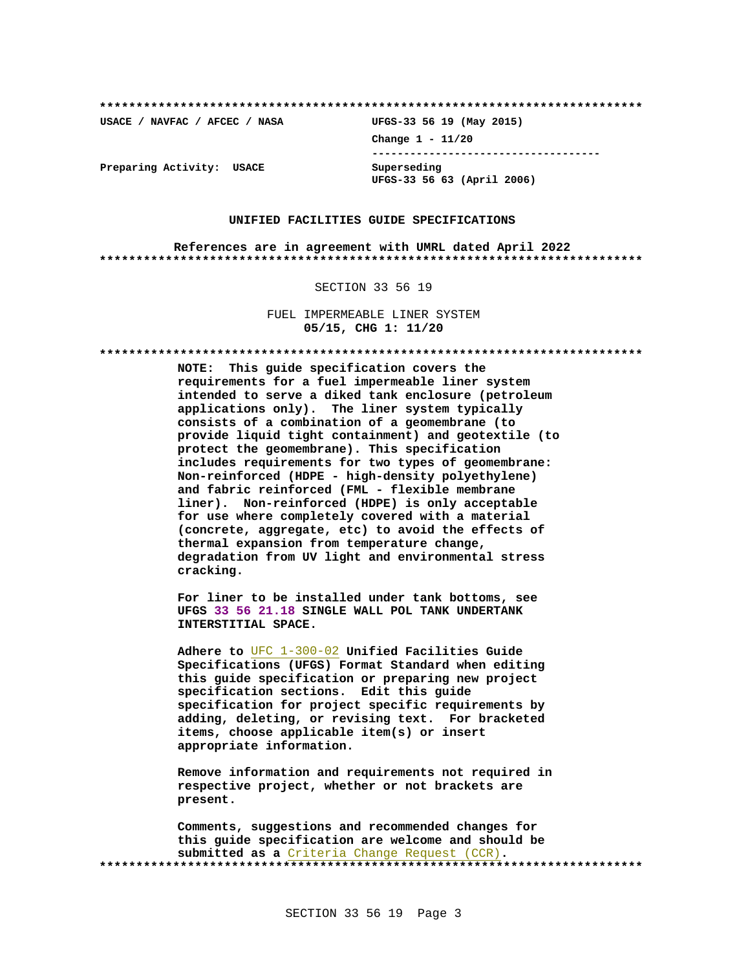**\*\*\*\*\*\*\*\*\*\*\*\*\*\*\*\*\*\*\*\*\*\*\*\*\*\*\*\*\*\*\*\*\*\*\*\*\*\*\*\*\*\*\*\*\*\*\*\*\*\*\*\*\*\*\*\*\*\*\*\*\*\*\*\*\*\*\*\*\*\*\*\*\*\***

**USACE / NAVFAC / AFCEC / NASA UFGS-33 56 19 (May 2015) Change 1 - 11/20 ------------------------------------ UFGS-33 56 63 (April 2006)**

**Preparing Activity: USACE Superseding**

#### **UNIFIED FACILITIES GUIDE SPECIFICATIONS**

**References are in agreement with UMRL dated April 2022 \*\*\*\*\*\*\*\*\*\*\*\*\*\*\*\*\*\*\*\*\*\*\*\*\*\*\*\*\*\*\*\*\*\*\*\*\*\*\*\*\*\*\*\*\*\*\*\*\*\*\*\*\*\*\*\*\*\*\*\*\*\*\*\*\*\*\*\*\*\*\*\*\*\***

#### SECTION 33 56 19

FUEL IMPERMEABLE LINER SYSTEM **05/15, CHG 1: 11/20**

**\*\*\*\*\*\*\*\*\*\*\*\*\*\*\*\*\*\*\*\*\*\*\*\*\*\*\*\*\*\*\*\*\*\*\*\*\*\*\*\*\*\*\*\*\*\*\*\*\*\*\*\*\*\*\*\*\*\*\*\*\*\*\*\*\*\*\*\*\*\*\*\*\*\***

**NOTE: This guide specification covers the requirements for a fuel impermeable liner system intended to serve a diked tank enclosure (petroleum applications only). The liner system typically consists of a combination of a geomembrane (to provide liquid tight containment) and geotextile (to protect the geomembrane). This specification includes requirements for two types of geomembrane: Non-reinforced (HDPE - high-density polyethylene) and fabric reinforced (FML - flexible membrane liner). Non-reinforced (HDPE) is only acceptable for use where completely covered with a material (concrete, aggregate, etc) to avoid the effects of thermal expansion from temperature change, degradation from UV light and environmental stress cracking.**

**For liner to be installed under tank bottoms, see UFGS 33 56 21.18 SINGLE WALL POL TANK UNDERTANK INTERSTITIAL SPACE.**

**Adhere to** UFC 1-300-02 **Unified Facilities Guide Specifications (UFGS) Format Standard when editing this guide specification or preparing new project specification sections. Edit this guide specification for project specific requirements by adding, deleting, or revising text. For bracketed items, choose applicable item(s) or insert appropriate information.**

**Remove information and requirements not required in respective project, whether or not brackets are present.**

**Comments, suggestions and recommended changes for this guide specification are welcome and should be submitted as a** Criteria Change Request (CCR)**. \*\*\*\*\*\*\*\*\*\*\*\*\*\*\*\*\*\*\*\*\*\*\*\*\*\*\*\*\*\*\*\*\*\*\*\*\*\*\*\*\*\*\*\*\*\*\*\*\*\*\*\*\*\*\*\*\*\*\*\*\*\*\*\*\*\*\*\*\*\*\*\*\*\***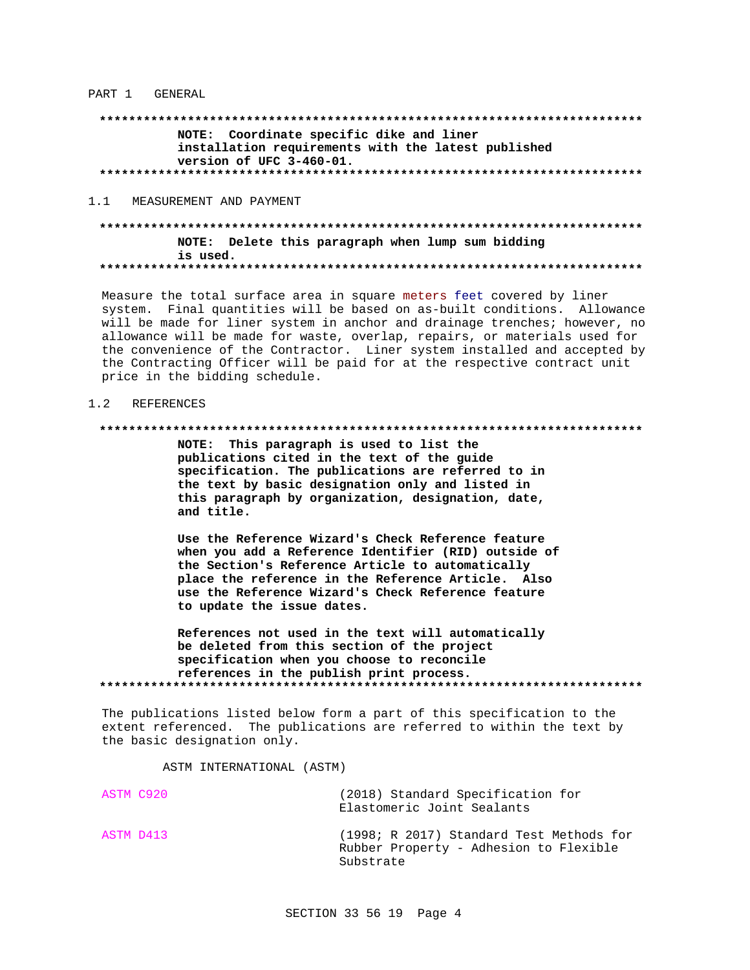PART 1 GENERAL

# NOTE: Coordinate specific dike and liner installation requirements with the latest published version of UFC 3-460-01.

#### MEASUREMENT AND PAYMENT  $1.1$

### NOTE: Delete this paragraph when lump sum bidding is used.

Measure the total surface area in square meters feet covered by liner system. Final quantities will be based on as-built conditions. Allowance will be made for liner system in anchor and drainage trenches; however, no allowance will be made for waste, overlap, repairs, or materials used for the convenience of the Contractor. Liner system installed and accepted by the Contracting Officer will be paid for at the respective contract unit price in the bidding schedule.

#### REFERENCES  $1.2$

#### 

NOTE: This paragraph is used to list the publications cited in the text of the guide specification. The publications are referred to in the text by basic designation only and listed in this paragraph by organization, designation, date, and title.

Use the Reference Wizard's Check Reference feature when you add a Reference Identifier (RID) outside of the Section's Reference Article to automatically place the reference in the Reference Article. Also use the Reference Wizard's Check Reference feature to update the issue dates.

References not used in the text will automatically be deleted from this section of the project specification when you choose to reconcile references in the publish print process. 

The publications listed below form a part of this specification to the extent referenced. The publications are referred to within the text by the basic designation only.

ASTM INTERNATIONAL (ASTM)

| ASTM C920 | (2018) Standard Specification for<br>Elastomeric Joint Sealants                                 |
|-----------|-------------------------------------------------------------------------------------------------|
| ASTM D413 | (1998; R 2017) Standard Test Methods for<br>Rubber Property - Adhesion to Flexible<br>Substrate |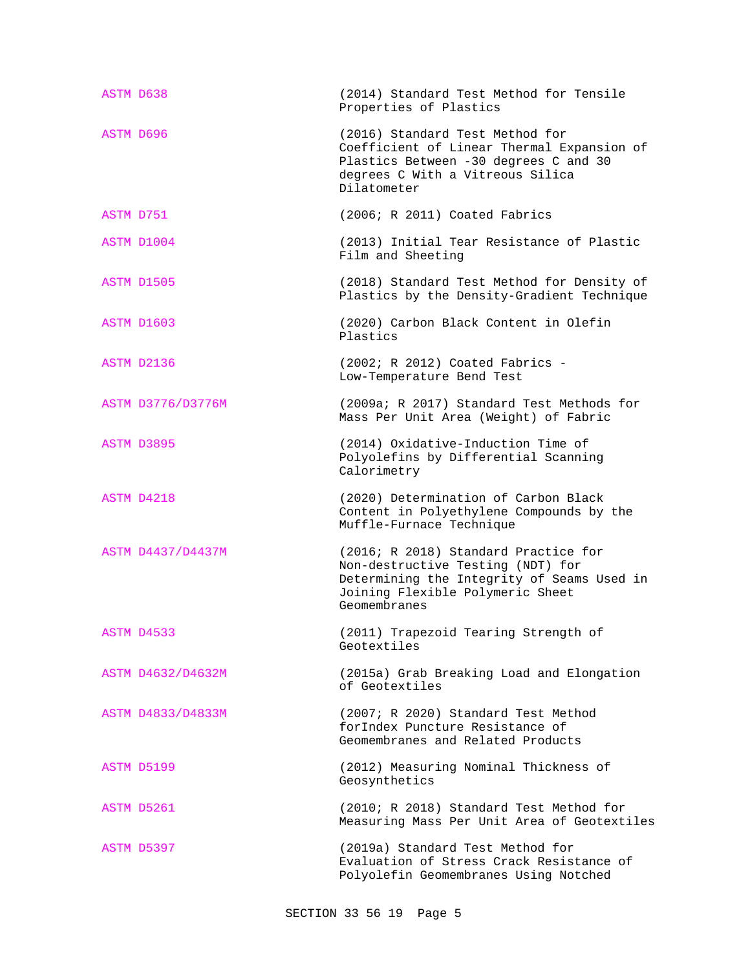| ASTM D638 |                   | (2014) Standard Test Method for Tensile<br>Properties of Plastics                                                                                                           |
|-----------|-------------------|-----------------------------------------------------------------------------------------------------------------------------------------------------------------------------|
|           | ASTM D696         | (2016) Standard Test Method for<br>Coefficient of Linear Thermal Expansion of<br>Plastics Between -30 degrees C and 30<br>degrees C With a Vitreous Silica<br>Dilatometer   |
|           | ASTM D751         | (2006; R 2011) Coated Fabrics                                                                                                                                               |
|           | ASTM D1004        | (2013) Initial Tear Resistance of Plastic<br>Film and Sheeting                                                                                                              |
|           | ASTM D1505        | (2018) Standard Test Method for Density of<br>Plastics by the Density-Gradient Technique                                                                                    |
|           | ASTM D1603        | (2020) Carbon Black Content in Olefin<br>Plastics                                                                                                                           |
|           | ASTM D2136        | $(2002; R 2012)$ Coated Fabrics -<br>Low-Temperature Bend Test                                                                                                              |
|           | ASTM D3776/D3776M | (2009a; R 2017) Standard Test Methods for<br>Mass Per Unit Area (Weight) of Fabric                                                                                          |
|           | ASTM D3895        | (2014) Oxidative-Induction Time of<br>Polyolefins by Differential Scanning<br>Calorimetry                                                                                   |
|           | ASTM D4218        | (2020) Determination of Carbon Black<br>Content in Polyethylene Compounds by the<br>Muffle-Furnace Technique                                                                |
|           | ASTM D4437/D4437M | (2016; R 2018) Standard Practice for<br>Non-destructive Testing (NDT) for<br>Determining the Integrity of Seams Used in<br>Joining Flexible Polymeric Sheet<br>Geomembranes |
|           | ASTM D4533        | (2011) Trapezoid Tearing Strength of<br>Geotextiles                                                                                                                         |
|           | ASTM D4632/D4632M | (2015a) Grab Breaking Load and Elongation<br>of Geotextiles                                                                                                                 |
|           | ASTM D4833/D4833M | (2007; R 2020) Standard Test Method<br>forIndex Puncture Resistance of<br>Geomembranes and Related Products                                                                 |
|           | ASTM D5199        | (2012) Measuring Nominal Thickness of<br>Geosynthetics                                                                                                                      |
|           | ASTM D5261        | (2010; R 2018) Standard Test Method for<br>Measuring Mass Per Unit Area of Geotextiles                                                                                      |
|           | ASTM D5397        | (2019a) Standard Test Method for<br>Evaluation of Stress Crack Resistance of<br>Polyolefin Geomembranes Using Notched                                                       |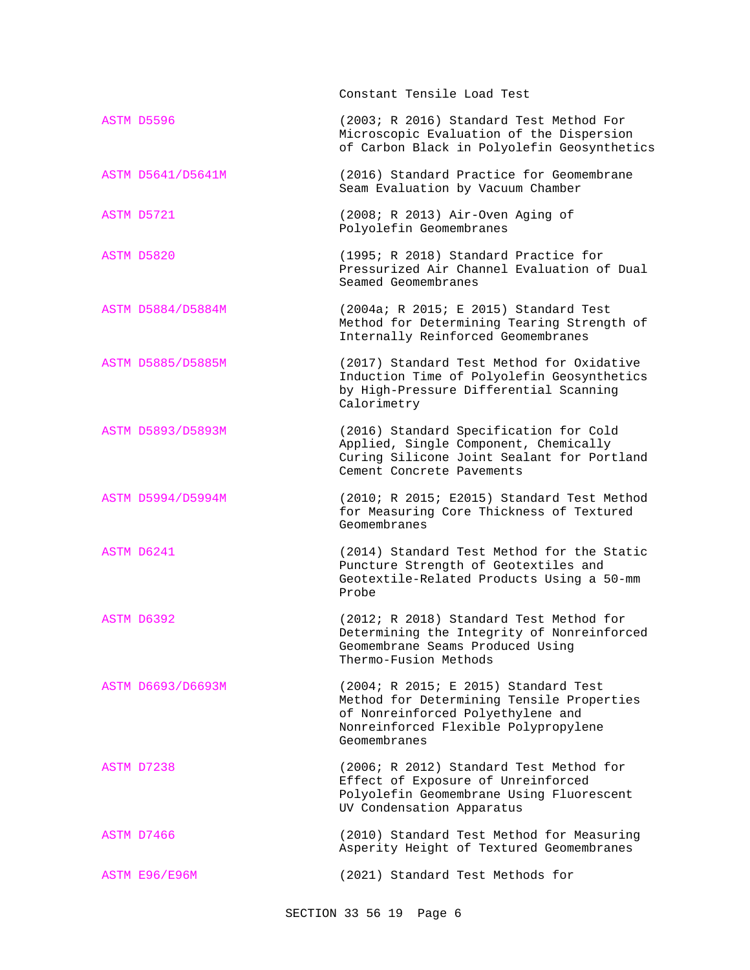|                   | Constant Tensile Load Test                                                                                                                                                     |
|-------------------|--------------------------------------------------------------------------------------------------------------------------------------------------------------------------------|
| ASTM D5596        | (2003; R 2016) Standard Test Method For<br>Microscopic Evaluation of the Dispersion<br>of Carbon Black in Polyolefin Geosynthetics                                             |
| ASTM D5641/D5641M | (2016) Standard Practice for Geomembrane<br>Seam Evaluation by Vacuum Chamber                                                                                                  |
| ASTM D5721        | (2008; R 2013) Air-Oven Aging of<br>Polyolefin Geomembranes                                                                                                                    |
| ASTM D5820        | (1995; R 2018) Standard Practice for<br>Pressurized Air Channel Evaluation of Dual<br>Seamed Geomembranes                                                                      |
| ASTM D5884/D5884M | (2004a; R 2015; E 2015) Standard Test<br>Method for Determining Tearing Strength of<br>Internally Reinforced Geomembranes                                                      |
| ASTM D5885/D5885M | (2017) Standard Test Method for Oxidative<br>Induction Time of Polyolefin Geosynthetics<br>by High-Pressure Differential Scanning<br>Calorimetry                               |
| ASTM D5893/D5893M | (2016) Standard Specification for Cold<br>Applied, Single Component, Chemically<br>Curing Silicone Joint Sealant for Portland<br>Cement Concrete Pavements                     |
| ASTM D5994/D5994M | (2010; R 2015; E2015) Standard Test Method<br>for Measuring Core Thickness of Textured<br>Geomembranes                                                                         |
| ASTM D6241        | (2014) Standard Test Method for the Static<br>Puncture Strength of Geotextiles and<br>Geotextile-Related Products Using a 50-mm<br>Probe                                       |
| ASTM D6392        | (2012; R 2018) Standard Test Method for<br>Determining the Integrity of Nonreinforced<br>Geomembrane Seams Produced Using<br>Thermo-Fusion Methods                             |
| ASTM D6693/D6693M | (2004; R 2015; E 2015) Standard Test<br>Method for Determining Tensile Properties<br>of Nonreinforced Polyethylene and<br>Nonreinforced Flexible Polypropylene<br>Geomembranes |
| ASTM D7238        | (2006; R 2012) Standard Test Method for<br>Effect of Exposure of Unreinforced<br>Polyolefin Geomembrane Using Fluorescent<br>UV Condensation Apparatus                         |
| ASTM D7466        | (2010) Standard Test Method for Measuring<br>Asperity Height of Textured Geomembranes                                                                                          |
| ASTM E96/E96M     | (2021) Standard Test Methods for                                                                                                                                               |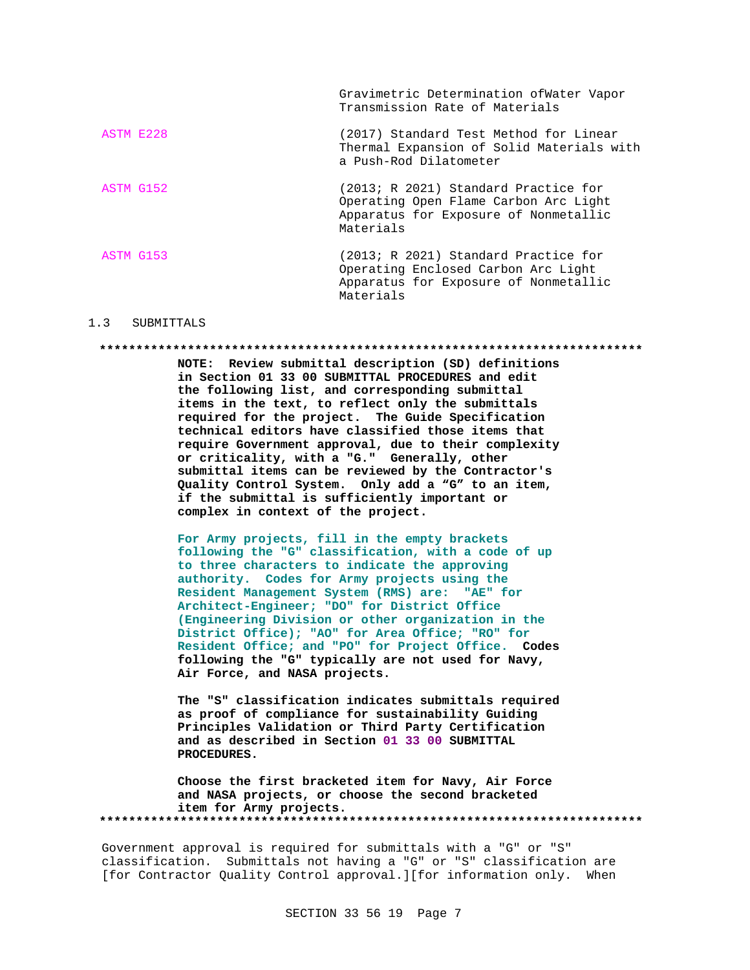|           | Gravimetric Determination of Water Vapor<br>Transmission Rate of Materials                                                            |
|-----------|---------------------------------------------------------------------------------------------------------------------------------------|
| ASTM E228 | (2017) Standard Test Method for Linear<br>Thermal Expansion of Solid Materials with<br>a Push-Rod Dilatometer                         |
| ASTM G152 | $(2013; R 2021)$ Standard Practice for<br>Operating Open Flame Carbon Arc Light<br>Apparatus for Exposure of Nonmetallic<br>Materials |
| ASTM G153 | $(2013; R 2021)$ Standard Practice for<br>Operating Enclosed Carbon Arc Light<br>Apparatus for Exposure of Nonmetallic<br>Materials   |

#### 1.3 SUBMITTALS

#### **\*\*\*\*\*\*\*\*\*\*\*\*\*\*\*\*\*\*\*\*\*\*\*\*\*\*\*\*\*\*\*\*\*\*\*\*\*\*\*\*\*\*\*\*\*\*\*\*\*\*\*\*\*\*\*\*\*\*\*\*\*\*\*\*\*\*\*\*\*\*\*\*\*\***

**NOTE: Review submittal description (SD) definitions in Section 01 33 00 SUBMITTAL PROCEDURES and edit the following list, and corresponding submittal items in the text, to reflect only the submittals required for the project. The Guide Specification technical editors have classified those items that require Government approval, due to their complexity or criticality, with a "G." Generally, other submittal items can be reviewed by the Contractor's Quality Control System. Only add a "G" to an item, if the submittal is sufficiently important or complex in context of the project.**

**For Army projects, fill in the empty brackets following the "G" classification, with a code of up to three characters to indicate the approving authority. Codes for Army projects using the Resident Management System (RMS) are: "AE" for Architect-Engineer; "DO" for District Office (Engineering Division or other organization in the District Office); "AO" for Area Office; "RO" for Resident Office; and "PO" for Project Office. Codes following the "G" typically are not used for Navy, Air Force, and NASA projects.**

**The "S" classification indicates submittals required as proof of compliance for sustainability Guiding Principles Validation or Third Party Certification and as described in Section 01 33 00 SUBMITTAL PROCEDURES.**

**Choose the first bracketed item for Navy, Air Force and NASA projects, or choose the second bracketed item for Army projects. \*\*\*\*\*\*\*\*\*\*\*\*\*\*\*\*\*\*\*\*\*\*\*\*\*\*\*\*\*\*\*\*\*\*\*\*\*\*\*\*\*\*\*\*\*\*\*\*\*\*\*\*\*\*\*\*\*\*\*\*\*\*\*\*\*\*\*\*\*\*\*\*\*\***

Government approval is required for submittals with a "G" or "S" classification. Submittals not having a "G" or "S" classification are [for Contractor Quality Control approval.][for information only. When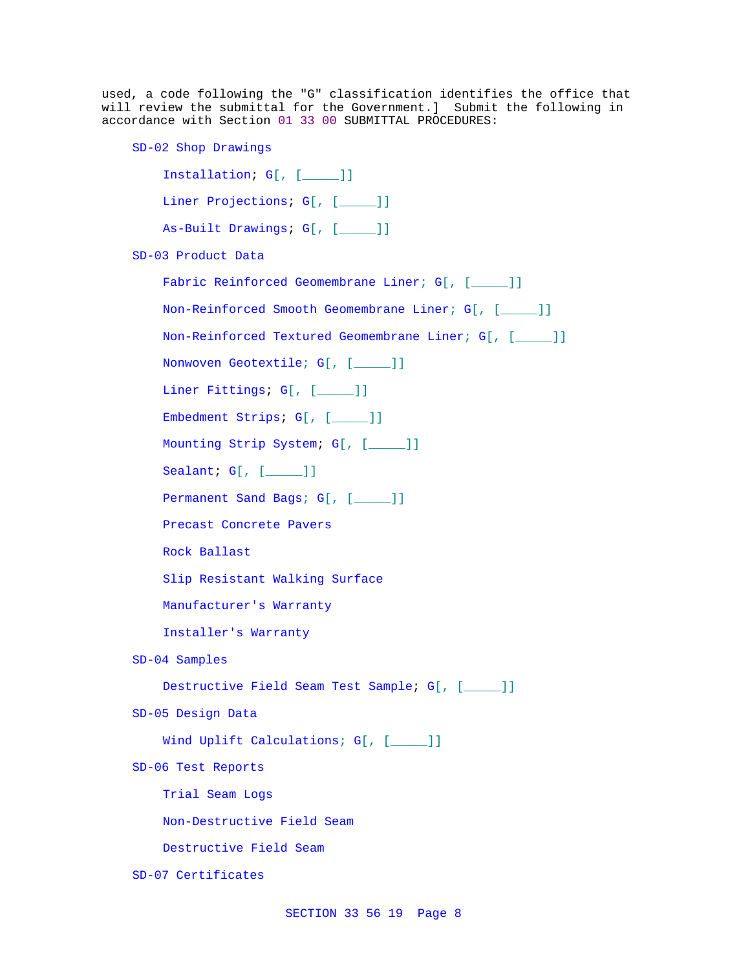used, a code following the "G" classification identifies the office that will review the submittal for the Government.] Submit the following in accordance with Section 01 33 00 SUBMITTAL PROCEDURES:

```
SD-02 Shop Drawings
    Installation; G[, [_____]]
    Liner Projections; G[, [____]]
    As-Built Drawings; G[, [_____]]
SD-03 Product Data
    Fabric Reinforced Geomembrane Liner; G[, [____]]
    Non-Reinforced Smooth Geomembrane Liner; G[, [_____]]
    Non-Reinforced Textured Geomembrane Liner; G[, [_____]]
    Nonwoven Geotextile; G[, [_____]]
    Liner Fittings; G[, [____]]
    Embedment Strips; G[, [_____]]
    Mounting Strip System; G[, [_____]]
    Sealant; G[, [_____]]
    Permanent Sand Bags; G[, [____]]
    Precast Concrete Pavers
    Rock Ballast
    Slip Resistant Walking Surface
    Manufacturer's Warranty
    Installer's Warranty
SD-04 Samples
    Destructive Field Seam Test Sample; G[, [_____]]
SD-05 Design Data
    Wind Uplift Calculations; G[, [_____]]
SD-06 Test Reports
    Trial Seam Logs
    Non-Destructive Field Seam
    Destructive Field Seam
```
SD-07 Certificates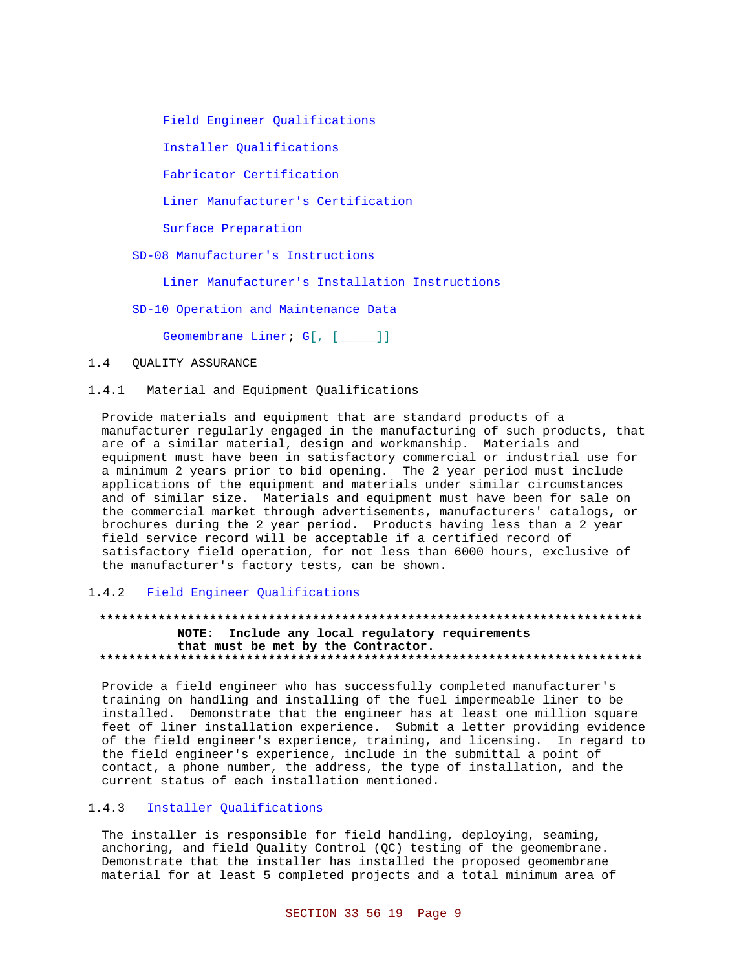Field Engineer Qualifications

Installer Qualifications

Fabricator Certification

Liner Manufacturer's Certification

Surface Preparation

SD-08 Manufacturer's Instructions

Liner Manufacturer's Installation Instructions

SD-10 Operation and Maintenance Data

Geomembrane Liner; G[, [\_\_\_\_]]

#### $1.4$ QUALITY ASSURANCE

 $1.4.1$ Material and Equipment Qualifications

Provide materials and equipment that are standard products of a manufacturer regularly engaged in the manufacturing of such products, that are of a similar material, design and workmanship. Materials and equipment must have been in satisfactory commercial or industrial use for a minimum 2 years prior to bid opening. The 2 year period must include applications of the equipment and materials under similar circumstances and of similar size. Materials and equipment must have been for sale on the commercial market through advertisements, manufacturers' catalogs, or brochures during the 2 year period. Products having less than a 2 year field service record will be acceptable if a certified record of satisfactory field operation, for not less than 6000 hours, exclusive of the manufacturer's factory tests, can be shown.

#### $1.4.2$ Field Engineer Qualifications

# NOTE: Include any local regulatory requirements that must be met by the Contractor.

Provide a field engineer who has successfully completed manufacturer's training on handling and installing of the fuel impermeable liner to be installed. Demonstrate that the engineer has at least one million square feet of liner installation experience. Submit a letter providing evidence of the field engineer's experience, training, and licensing. In regard to the field engineer's experience, include in the submittal a point of contact, a phone number, the address, the type of installation, and the current status of each installation mentioned.

#### $1.4.3$ Installer Qualifications

The installer is responsible for field handling, deploying, seaming, anchoring, and field Quality Control (QC) testing of the geomembrane. Demonstrate that the installer has installed the proposed geomembrane material for at least 5 completed projects and a total minimum area of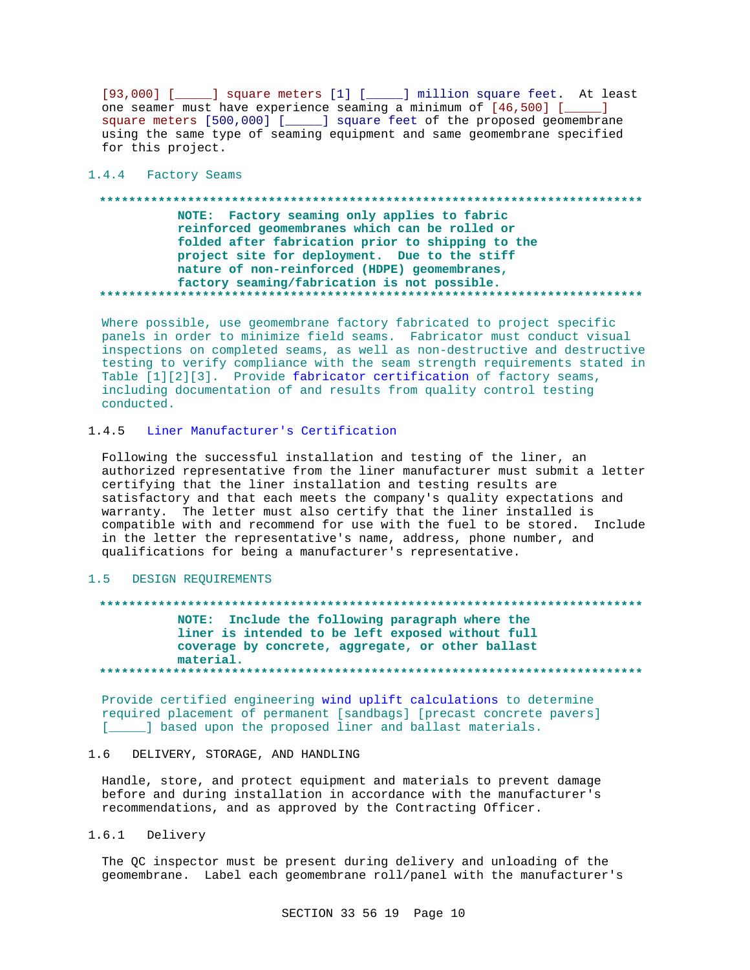[93,000] [\_\_\_\_\_] square meters [1] [\_\_\_\_\_] million square feet. At least one seamer must have experience seaming a minimum of [46,500] [\_\_\_\_\_] square meters [500,000] [\_\_\_\_\_] square feet of the proposed geomembrane using the same type of seaming equipment and same geomembrane specified for this project.

# 1.4.4 Factory Seams

# NOTE: Factory seaming only applies to fabric reinforced geomembranes which can be rolled or folded after fabrication prior to shipping to the project site for deployment. Due to the stiff nature of non-reinforced (HDPE) geomembranes, factory seaming/fabrication is not possible.

Where possible, use geomembrane factory fabricated to project specific panels in order to minimize field seams. Fabricator must conduct visual inspections on completed seams, as well as non-destructive and destructive testing to verify compliance with the seam strength requirements stated in Table [1][2][3]. Provide fabricator certification of factory seams, including documentation of and results from quality control testing conducted.

#### Liner Manufacturer's Certification  $1.4.5$

Following the successful installation and testing of the liner, an authorized representative from the liner manufacturer must submit a letter certifying that the liner installation and testing results are satisfactory and that each meets the company's quality expectations and warranty. The letter must also certify that the liner installed is compatible with and recommend for use with the fuel to be stored. Include in the letter the representative's name, address, phone number, and qualifications for being a manufacturer's representative.

#### 1.5 DESIGN REQUIREMENTS

# NOTE: Include the following paragraph where the liner is intended to be left exposed without full coverage by concrete, aggregate, or other ballast material.

Provide certified engineering wind uplift calculations to determine required placement of permanent [sandbags] [precast concrete pavers] [ \_\_\_\_\_ ] based upon the proposed liner and ballast materials.

#### $1.6$ DELIVERY, STORAGE, AND HANDLING

Handle, store, and protect equipment and materials to prevent damage before and during installation in accordance with the manufacturer's recommendations, and as approved by the Contracting Officer.

 $1.6.1$ Delivery

> The QC inspector must be present during delivery and unloading of the geomembrane. Label each geomembrane roll/panel with the manufacturer's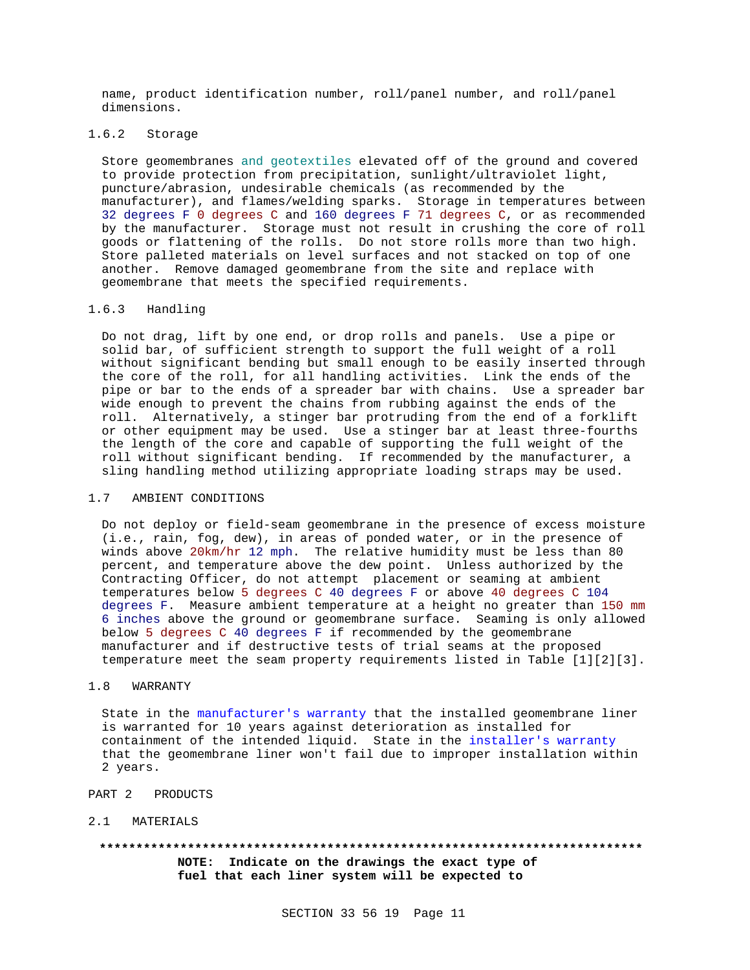name, product identification number, roll/panel number, and roll/panel dimensions.

# 1.6.2 Storage

Store geomembranes and geotextiles elevated off of the ground and covered to provide protection from precipitation, sunlight/ultraviolet light, puncture/abrasion, undesirable chemicals (as recommended by the manufacturer), and flames/welding sparks. Storage in temperatures between 32 degrees F 0 degrees C and 160 degrees F 71 degrees C, or as recommended by the manufacturer. Storage must not result in crushing the core of roll goods or flattening of the rolls. Do not store rolls more than two high. Store palleted materials on level surfaces and not stacked on top of one another. Remove damaged geomembrane from the site and replace with geomembrane that meets the specified requirements.

#### 1.6.3 Handling

Do not drag, lift by one end, or drop rolls and panels. Use a pipe or solid bar, of sufficient strength to support the full weight of a roll without significant bending but small enough to be easily inserted through the core of the roll, for all handling activities. Link the ends of the pipe or bar to the ends of a spreader bar with chains. Use a spreader bar wide enough to prevent the chains from rubbing against the ends of the roll. Alternatively, a stinger bar protruding from the end of a forklift or other equipment may be used. Use a stinger bar at least three-fourths the length of the core and capable of supporting the full weight of the roll without significant bending. If recommended by the manufacturer, a sling handling method utilizing appropriate loading straps may be used.

#### 1.7 AMBIENT CONDITIONS

Do not deploy or field-seam geomembrane in the presence of excess moisture (i.e., rain, fog, dew), in areas of ponded water, or in the presence of winds above 20km/hr 12 mph. The relative humidity must be less than 80 percent, and temperature above the dew point. Unless authorized by the Contracting Officer, do not attempt placement or seaming at ambient temperatures below 5 degrees C 40 degrees F or above 40 degrees C 104 degrees F. Measure ambient temperature at a height no greater than 150 mm 6 inches above the ground or geomembrane surface. Seaming is only allowed below 5 degrees C 40 degrees F if recommended by the geomembrane manufacturer and if destructive tests of trial seams at the proposed temperature meet the seam property requirements listed in Table [1][2][3].

# 1.8 WARRANTY

State in the manufacturer's warranty that the installed geomembrane liner is warranted for 10 years against deterioration as installed for containment of the intended liquid. State in the installer's warranty that the geomembrane liner won't fail due to improper installation within 2 years.

- PART 2 PRODUCTS
- 2.1 MATERIALS

# **\*\*\*\*\*\*\*\*\*\*\*\*\*\*\*\*\*\*\*\*\*\*\*\*\*\*\*\*\*\*\*\*\*\*\*\*\*\*\*\*\*\*\*\*\*\*\*\*\*\*\*\*\*\*\*\*\*\*\*\*\*\*\*\*\*\*\*\*\*\*\*\*\*\***

**NOTE: Indicate on the drawings the exact type of fuel that each liner system will be expected to**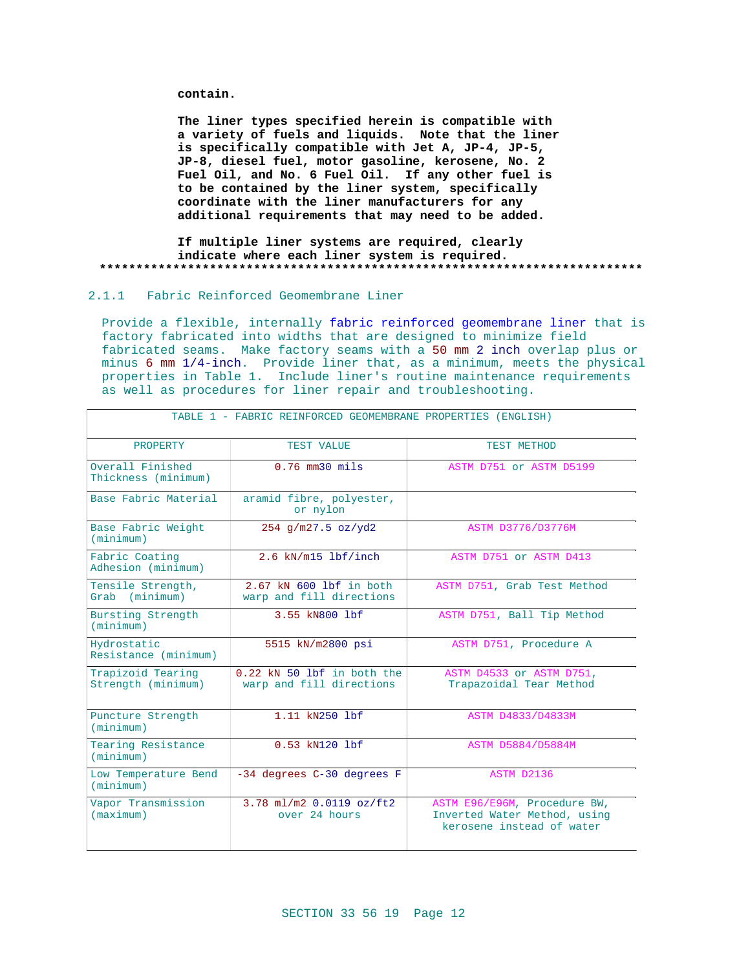**contain.**

**The liner types specified herein is compatible with a variety of fuels and liquids. Note that the liner is specifically compatible with Jet A, JP-4, JP-5, JP-8, diesel fuel, motor gasoline, kerosene, No. 2 Fuel Oil, and No. 6 Fuel Oil. If any other fuel is to be contained by the liner system, specifically coordinate with the liner manufacturers for any additional requirements that may need to be added.**

#### **If multiple liner systems are required, clearly indicate where each liner system is required. \*\*\*\*\*\*\*\*\*\*\*\*\*\*\*\*\*\*\*\*\*\*\*\*\*\*\*\*\*\*\*\*\*\*\*\*\*\*\*\*\*\*\*\*\*\*\*\*\*\*\*\*\*\*\*\*\*\*\*\*\*\*\*\*\*\*\*\*\*\*\*\*\*\***

# 2.1.1 Fabric Reinforced Geomembrane Liner

Provide a flexible, internally fabric reinforced geomembrane liner that is factory fabricated into widths that are designed to minimize field fabricated seams. Make factory seams with a 50 mm 2 inch overlap plus or minus 6 mm 1/4-inch. Provide liner that, as a minimum, meets the physical properties in Table 1. Include liner's routine maintenance requirements as well as procedures for liner repair and troubleshooting.

| TABLE 1 - FABRIC REINFORCED GEOMEMBRANE PROPERTIES (ENGLISH) |                                                          |                                                                                           |  |  |
|--------------------------------------------------------------|----------------------------------------------------------|-------------------------------------------------------------------------------------------|--|--|
| PROPERTY                                                     | TEST VALUE                                               | TEST METHOD                                                                               |  |  |
| Overall Finished<br>Thickness (minimum)                      | $0.76$ mm $30$ mils                                      | ASTM D751 or ASTM D5199                                                                   |  |  |
| Base Fabric Material                                         | aramid fibre, polyester,<br>or nylon                     |                                                                                           |  |  |
| Base Fabric Weight<br>(minimum)                              | $254$ q/m27.5 oz/yd2                                     | ASTM D3776/D3776M                                                                         |  |  |
| Fabric Coating<br>Adhesion (minimum)                         | $2.6$ kN/m15 lbf/inch                                    | ASTM D751 or ASTM D413                                                                    |  |  |
| Tensile Strength,<br>Grab (minimum)                          | 2.67 kN 600 lbf in both<br>warp and fill directions      | ASTM D751, Grab Test Method                                                               |  |  |
| Bursting Strength<br>(minimum)                               | 3.55 kN800 lbf                                           | ASTM D751, Ball Tip Method                                                                |  |  |
| Hydrostatic<br>Resistance (minimum)                          | 5515 kN/m2800 psi                                        | ASTM D751, Procedure A                                                                    |  |  |
| Trapizoid Tearing<br>Strength (minimum)                      | $0.22$ kN 50 lbf in both the<br>warp and fill directions | ASTM D4533 or ASTM D751,<br>Trapazoidal Tear Method                                       |  |  |
| Puncture Strength<br>(minimum)                               | 1.11 kN250 lbf                                           | ASTM D4833/D4833M                                                                         |  |  |
| Tearing Resistance<br>(minimum)                              | 0.53 kN120 lbf                                           | ASTM D5884/D5884M                                                                         |  |  |
| Low Temperature Bend<br>(minimum)                            | -34 degrees C-30 degrees F                               | <b>ASTM D2136</b>                                                                         |  |  |
| Vapor Transmission<br>(maximum)                              | 3.78 ml/m2 0.0119 oz/ft2<br>over 24 hours                | ASTM E96/E96M, Procedure BW,<br>Inverted Water Method, using<br>kerosene instead of water |  |  |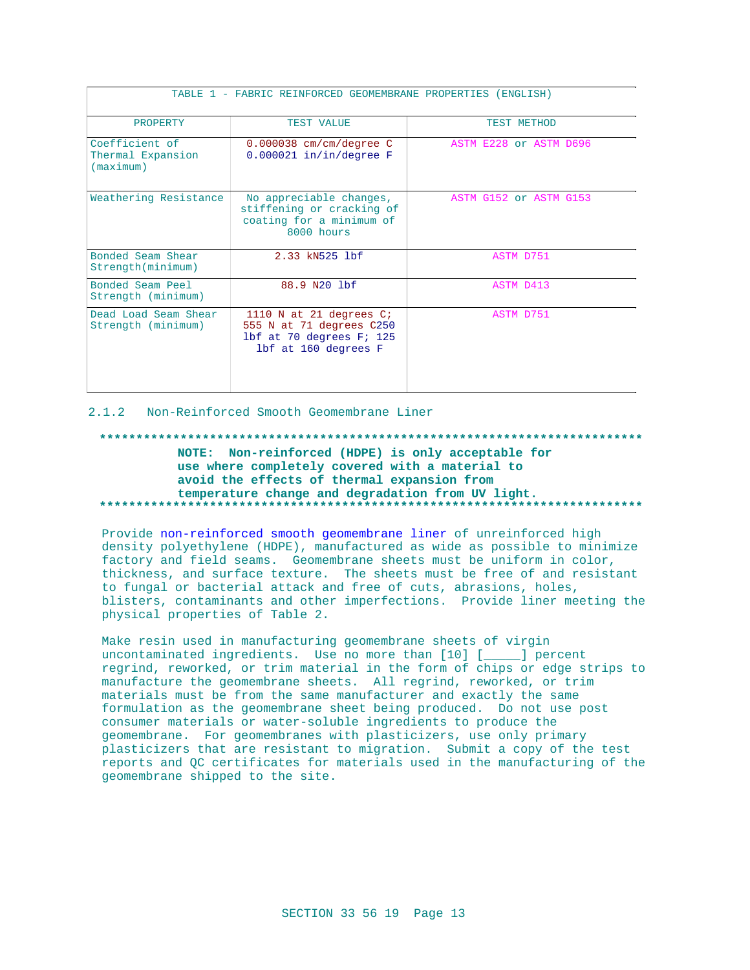| TABLE 1 - FABRIC REINFORCED GEOMEMBRANE PROPERTIES (ENGLISH) |                                                                                                             |                        |  |
|--------------------------------------------------------------|-------------------------------------------------------------------------------------------------------------|------------------------|--|
| <b>PROPERTY</b>                                              | TEST VALUE                                                                                                  | TEST METHOD            |  |
| Coefficient of<br>Thermal Expansion<br>$(\text{maximum})$    | $0.000038$ cm/cm/degree C<br>$0.000021$ in/in/degree F                                                      | ASTM E228 or ASTM D696 |  |
| Weathering Resistance                                        | No appreciable changes,<br>stiffening or cracking of<br>coating for a minimum of<br>8000 hours              | ASTM G152 or ASTM G153 |  |
| Bonded Seam Shear<br>Strength(minimum)                       | 2.33 kN525 lbf                                                                                              | <b>ASTM D751</b>       |  |
| Bonded Seam Peel<br>Strength (minimum)                       | 88.9 N20 lbf                                                                                                | ASTM D413              |  |
| Dead Load Seam Shear<br>Strength (minimum)                   | 1110 N at 21 degrees C;<br>555 N at 71 degrees C250<br>$lbf$ at 70 degrees $Fi$ 125<br>lbf at 160 degrees F | ASTM D751              |  |

2.1.2 Non-Reinforced Smooth Geomembrane Liner

**\*\*\*\*\*\*\*\*\*\*\*\*\*\*\*\*\*\*\*\*\*\*\*\*\*\*\*\*\*\*\*\*\*\*\*\*\*\*\*\*\*\*\*\*\*\*\*\*\*\*\*\*\*\*\*\*\*\*\*\*\*\*\*\*\*\*\*\*\*\*\*\*\*\***

**NOTE: Non-reinforced (HDPE) is only acceptable for use where completely covered with a material to avoid the effects of thermal expansion from temperature change and degradation from UV light. \*\*\*\*\*\*\*\*\*\*\*\*\*\*\*\*\*\*\*\*\*\*\*\*\*\*\*\*\*\*\*\*\*\*\*\*\*\*\*\*\*\*\*\*\*\*\*\*\*\*\*\*\*\*\*\*\*\*\*\*\*\*\*\*\*\*\*\*\*\*\*\*\*\***

Provide non-reinforced smooth geomembrane liner of unreinforced high density polyethylene (HDPE), manufactured as wide as possible to minimize factory and field seams. Geomembrane sheets must be uniform in color, thickness, and surface texture. The sheets must be free of and resistant to fungal or bacterial attack and free of cuts, abrasions, holes, blisters, contaminants and other imperfections. Provide liner meeting the physical properties of Table 2.

Make resin used in manufacturing geomembrane sheets of virgin uncontaminated ingredients. Use no more than [10] [\_\_\_\_\_] percent regrind, reworked, or trim material in the form of chips or edge strips to manufacture the geomembrane sheets. All regrind, reworked, or trim materials must be from the same manufacturer and exactly the same formulation as the geomembrane sheet being produced. Do not use post consumer materials or water-soluble ingredients to produce the geomembrane. For geomembranes with plasticizers, use only primary plasticizers that are resistant to migration. Submit a copy of the test reports and QC certificates for materials used in the manufacturing of the geomembrane shipped to the site.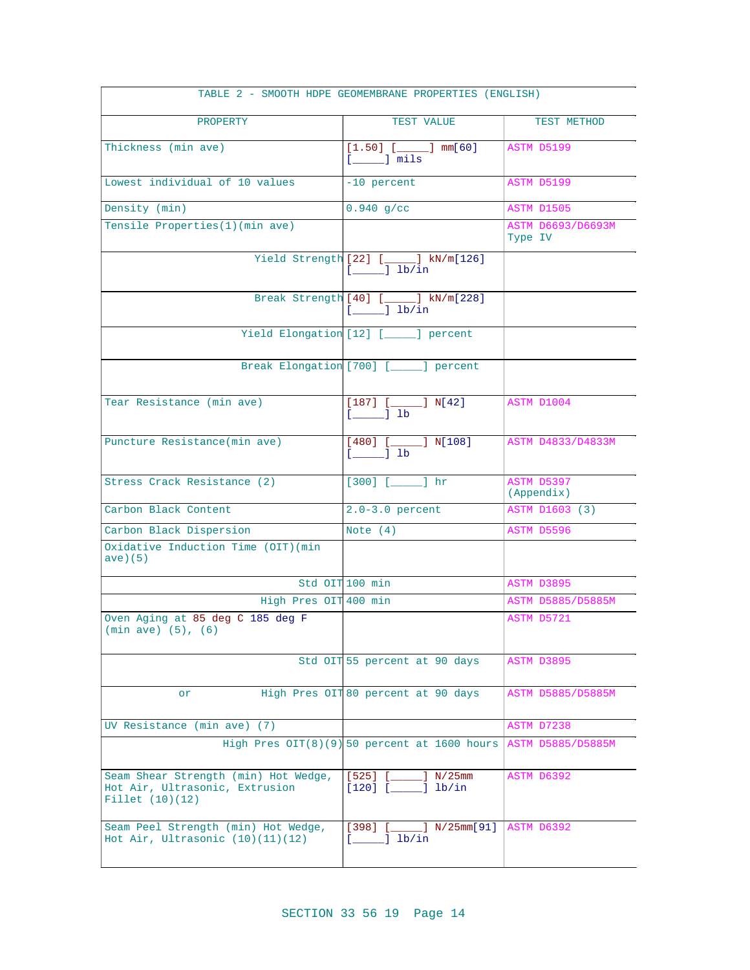| TABLE 2 - SMOOTH HDPE GEOMEMBRANE PROPERTIES (ENGLISH)                                    |                                                                                      |                                     |  |  |
|-------------------------------------------------------------------------------------------|--------------------------------------------------------------------------------------|-------------------------------------|--|--|
| PROPERTY                                                                                  | TEST VALUE                                                                           | TEST METHOD                         |  |  |
| Thickness (min ave)                                                                       | $[1.50]$ $[\_$ mm[60]<br>$[\underline{\hspace{1cm}}]$ mils                           | ASTM D5199                          |  |  |
| Lowest individual of 10 values                                                            | -10 percent                                                                          | ASTM D5199                          |  |  |
| Density (min)                                                                             | $0.940$ g/cc                                                                         | ASTM D1505                          |  |  |
| Tensile Properties(1)(min ave)                                                            |                                                                                      | <b>ASTM D6693/D6693M</b><br>Type IV |  |  |
|                                                                                           | Yield Strength [22] [_____] kN/m[126]<br>$[\underline{\hspace{1cm}}]$ lb/in          |                                     |  |  |
|                                                                                           | Break Strength [40] [_____] kN/m[228]<br>$[$ $]$ $]$ $]$ $]$ $]$ $]$ $]$             |                                     |  |  |
|                                                                                           | Yield Elongation [12] [_____] percent                                                |                                     |  |  |
|                                                                                           | Break Elongation [700] [_____] percent                                               |                                     |  |  |
| Tear Resistance (min ave)                                                                 | $[187]$ $[\_$ $N[42]$<br>$[$ $]$ $]$ $]$                                             | ASTM D1004                          |  |  |
| Puncture Resistance(min ave)                                                              | $[480]$ $[\_$ $[$ $]$ $N[108]$<br>$[\underline{\hspace{1cm}}]$ lb                    | ASTM D4833/D4833M                   |  |  |
| Stress Crack Resistance (2)                                                               | $[300]$ $[$ $]$ $]$ $hr$                                                             | ASTM D5397<br>(Appendix)            |  |  |
| Carbon Black Content                                                                      | $2.0 - 3.0$ percent                                                                  | ASTM D1603 (3)                      |  |  |
| Carbon Black Dispersion                                                                   | Note $(4)$                                                                           | ASTM D5596                          |  |  |
| Oxidative Induction Time (OIT) (min<br>ave)(5)                                            |                                                                                      |                                     |  |  |
|                                                                                           | Std OIT 100 min                                                                      | ASTM D3895                          |  |  |
| High Pres OIT 400 min                                                                     |                                                                                      | ASTM D5885/D5885M                   |  |  |
| Oven Aging at 85 deg C 185 deg F<br>$(min \, ave)$ $(5)$ , $(6)$                          |                                                                                      | ASTM D5721                          |  |  |
|                                                                                           | Std OIT 55 percent at 90 days                                                        | ASTM D3895                          |  |  |
| or                                                                                        | High Pres OIT 80 percent at 90 days                                                  | ASTM D5885/D5885M                   |  |  |
| UV Resistance (min ave) (7)                                                               |                                                                                      | ASTM D7238                          |  |  |
|                                                                                           | High Pres $OIT(8)(9)$ 50 percent at 1600 hours                                       | ASTM D5885/D5885M                   |  |  |
| Seam Shear Strength (min) Hot Wedge,<br>Hot Air, Ultrasonic, Extrusion<br>Fillet (10)(12) | $[525]$ $[$<br>$\text{N}/\text{25mm}$<br>$[120]$ $[$ $]$ $]$ $]$ $]$ $)$ $]$ $)$ $]$ | ASTM D6392                          |  |  |
| Seam Peel Strength (min) Hot Wedge,<br>Hot Air, Ultrasonic $(10)(11)(12)$                 | $[398]$ $[$ $N/25mm[91]$ $ASTM D6392$<br>$[$ $]$ $lb/in$                             |                                     |  |  |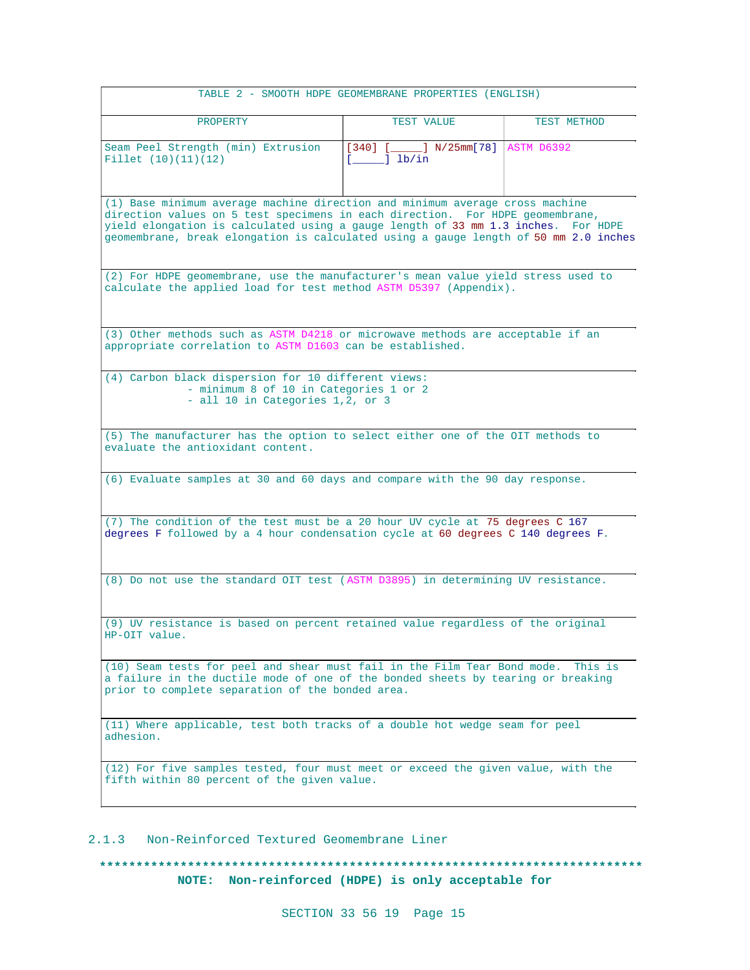| TABLE 2 - SMOOTH HDPE GEOMEMBRANE PROPERTIES (ENGLISH)                                                                                                                                                                                                                                                                                     |                                   |             |  |  |
|--------------------------------------------------------------------------------------------------------------------------------------------------------------------------------------------------------------------------------------------------------------------------------------------------------------------------------------------|-----------------------------------|-------------|--|--|
| PROPERTY                                                                                                                                                                                                                                                                                                                                   | TEST VALUE                        | TEST METHOD |  |  |
| Seam Peel Strength (min) Extrusion<br>Fillet $(10)(11)(12)$                                                                                                                                                                                                                                                                                | $[340]$ [ ] N/25mm[78] ASTM D6392 |             |  |  |
| (1) Base minimum average machine direction and minimum average cross machine<br>direction values on 5 test specimens in each direction. For HDPE geomembrane,<br>yield elongation is calculated using a gauge length of 33 mm 1.3 inches. For HDPE<br>geomembrane, break elongation is calculated using a gauge length of 50 mm 2.0 inches |                                   |             |  |  |
| (2) For HDPE geomembrane, use the manufacturer's mean value yield stress used to<br>calculate the applied load for test method ASTM D5397 (Appendix).                                                                                                                                                                                      |                                   |             |  |  |
| (3) Other methods such as ASTM D4218 or microwave methods are acceptable if an<br>appropriate correlation to ASTM D1603 can be established.                                                                                                                                                                                                |                                   |             |  |  |
| (4) Carbon black dispersion for 10 different views:<br>- minimum 8 of 10 in Categories 1 or 2<br>- all 10 in Categories 1,2, or 3                                                                                                                                                                                                          |                                   |             |  |  |
| (5) The manufacturer has the option to select either one of the OIT methods to<br>evaluate the antioxidant content.                                                                                                                                                                                                                        |                                   |             |  |  |
| (6) Evaluate samples at 30 and 60 days and compare with the 90 day response.                                                                                                                                                                                                                                                               |                                   |             |  |  |
| (7) The condition of the test must be a 20 hour UV cycle at 75 degrees C 167<br>degrees F followed by a 4 hour condensation cycle at 60 degrees C 140 degrees F.                                                                                                                                                                           |                                   |             |  |  |
| (8) Do not use the standard OIT test (ASTM D3895) in determining UV resistance.                                                                                                                                                                                                                                                            |                                   |             |  |  |
| (9) UV resistance is based on percent retained value regardless of the original<br>HP-OIT value.                                                                                                                                                                                                                                           |                                   |             |  |  |
| (10) Seam tests for peel and shear must fail in the Film Tear Bond mode.<br>This is<br>a failure in the ductile mode of one of the bonded sheets by tearing or breaking<br>prior to complete separation of the bonded area.                                                                                                                |                                   |             |  |  |
| (11) Where applicable, test both tracks of a double hot wedge seam for peel<br>adhesion.                                                                                                                                                                                                                                                   |                                   |             |  |  |
| (12) For five samples tested, four must meet or exceed the given value, with the<br>fifth within 80 percent of the given value.                                                                                                                                                                                                            |                                   |             |  |  |

# 2.1.3 Non-Reinforced Textured Geomembrane Liner

**\*\*\*\*\*\*\*\*\*\*\*\*\*\*\*\*\*\*\*\*\*\*\*\*\*\*\*\*\*\*\*\*\*\*\*\*\*\*\*\*\*\*\*\*\*\*\*\*\*\*\*\*\*\*\*\*\*\*\*\*\*\*\*\*\*\*\*\*\*\*\*\*\*\* NOTE: Non-reinforced (HDPE) is only acceptable for**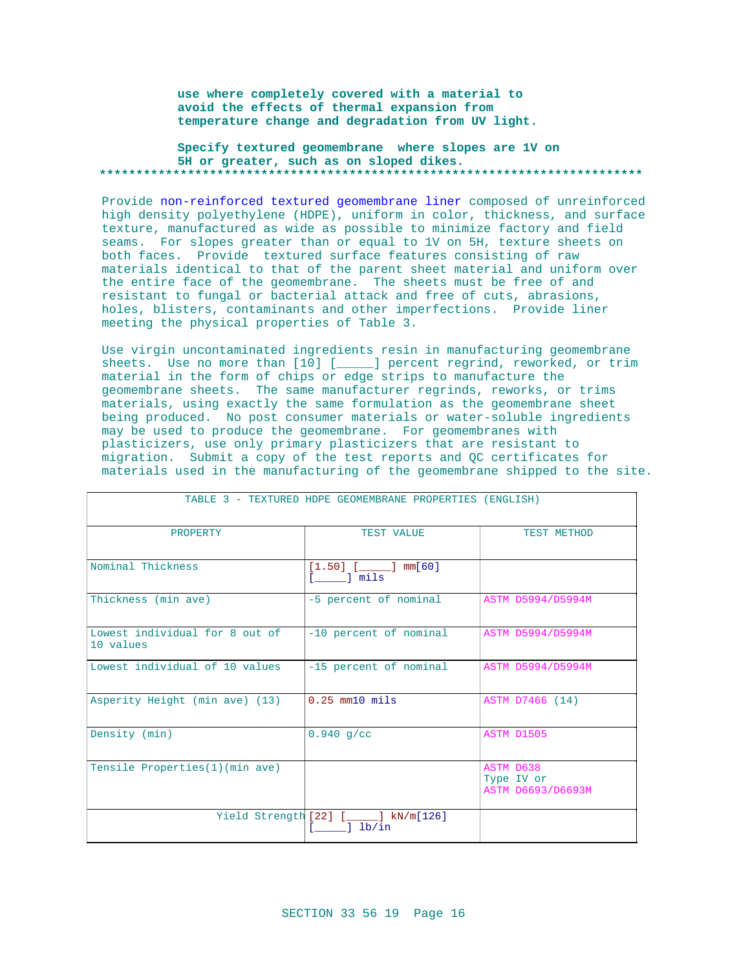**use where completely covered with a material to avoid the effects of thermal expansion from temperature change and degradation from UV light.**

**Specify textured geomembrane where slopes are 1V on 5H or greater, such as on sloped dikes. \*\*\*\*\*\*\*\*\*\*\*\*\*\*\*\*\*\*\*\*\*\*\*\*\*\*\*\*\*\*\*\*\*\*\*\*\*\*\*\*\*\*\*\*\*\*\*\*\*\*\*\*\*\*\*\*\*\*\*\*\*\*\*\*\*\*\*\*\*\*\*\*\*\***

Provide non-reinforced textured geomembrane liner composed of unreinforced high density polyethylene (HDPE), uniform in color, thickness, and surface texture, manufactured as wide as possible to minimize factory and field seams. For slopes greater than or equal to 1V on 5H, texture sheets on both faces. Provide textured surface features consisting of raw materials identical to that of the parent sheet material and uniform over the entire face of the geomembrane. The sheets must be free of and resistant to fungal or bacterial attack and free of cuts, abrasions, holes, blisters, contaminants and other imperfections. Provide liner meeting the physical properties of Table 3.

Use virgin uncontaminated ingredients resin in manufacturing geomembrane sheets. Use no more than [10] [\_\_\_\_\_] percent regrind, reworked, or trim material in the form of chips or edge strips to manufacture the geomembrane sheets. The same manufacturer regrinds, reworks, or trims materials, using exactly the same formulation as the geomembrane sheet being produced. No post consumer materials or water-soluble ingredients may be used to produce the geomembrane. For geomembranes with plasticizers, use only primary plasticizers that are resistant to migration. Submit a copy of the test reports and QC certificates for materials used in the manufacturing of the geomembrane shipped to the site.

| TABLE 3 - TEXTURED HDPE GEOMEMBRANE PROPERTIES (ENGLISH) |                                               |                                              |  |
|----------------------------------------------------------|-----------------------------------------------|----------------------------------------------|--|
| PROPERTY                                                 | TEST VALUE                                    | TEST METHOD                                  |  |
| Nominal Thickness                                        | $[1.50]$ $[\_ \_ ]$ mm[60]<br>l mils          |                                              |  |
| Thickness (min ave)                                      | -5 percent of nominal                         | ASTM D5994/D5994M                            |  |
| Lowest individual for 8 out of<br>10 values              | -10 percent of nominal                        | ASTM D5994/D5994M                            |  |
| Lowest individual of 10 values                           | -15 percent of nominal                        | ASTM D5994/D5994M                            |  |
| Asperity Height (min ave) (13)                           | $0.25$ mm $10$ mils                           | ASTM D7466 (14)                              |  |
| Density (min)                                            | $0.940$ q/cc                                  | ASTM D1505                                   |  |
| Tensile Properties(1)(min ave)                           |                                               | ASTM D638<br>Type IV or<br>ASTM D6693/D6693M |  |
|                                                          | Yield Strength [22] [____] kN/m[126]<br>1b/in |                                              |  |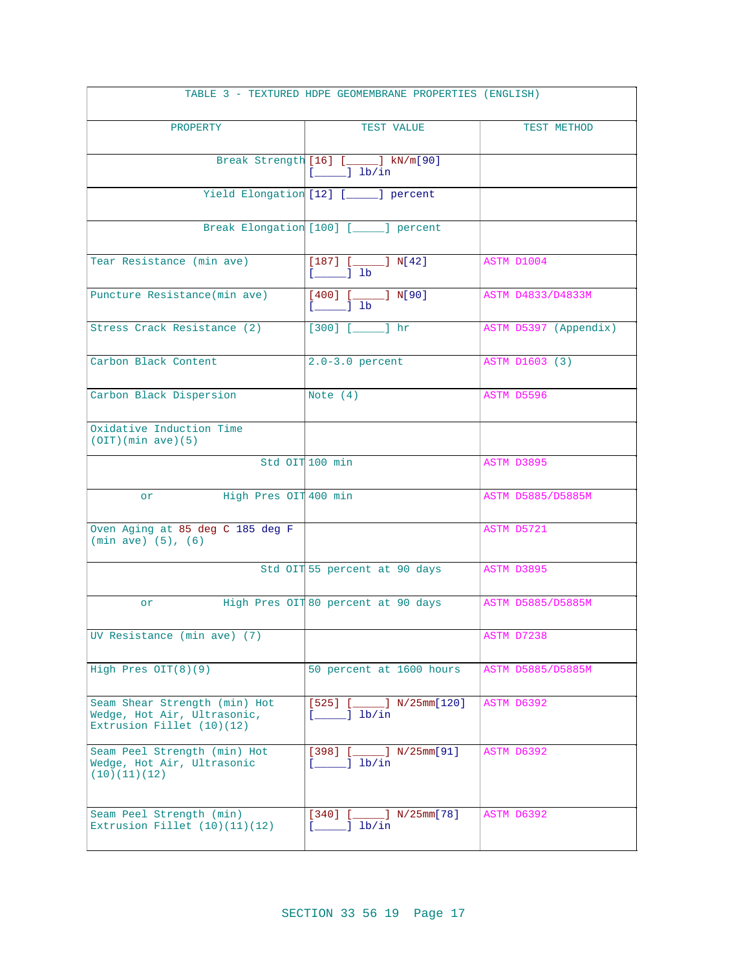| TABLE 3 - TEXTURED HDPE GEOMEMBRANE PROPERTIES (ENGLISH)                                  |                                                                            |                       |  |  |
|-------------------------------------------------------------------------------------------|----------------------------------------------------------------------------|-----------------------|--|--|
| PROPERTY                                                                                  | TEST VALUE                                                                 | TEST METHOD           |  |  |
|                                                                                           | Break Strength [16] [_____] kN/m[90]<br>$[\underline{\hspace{1cm}}]$ lb/in |                       |  |  |
|                                                                                           | Yield Elongation [12] [____] percent                                       |                       |  |  |
|                                                                                           | Break Elongation [100] [_____] percent                                     |                       |  |  |
| Tear Resistance (min ave)                                                                 | $[187]$ $[$ $[$ $]$ $N[42]$<br>$[\ ]$ $]$ $]$ $]$                          | ASTM D1004            |  |  |
| Puncture Resistance(min ave)                                                              | $[400]$ $[$ $[$ $]$ $N[90]$<br>$[$ $]$ $]$ $]$                             | ASTM D4833/D4833M     |  |  |
| Stress Crack Resistance (2)                                                               | $[300]$ $[$ $]$ $]$ $hr$                                                   | ASTM D5397 (Appendix) |  |  |
| Carbon Black Content                                                                      | $2.0 - 3.0$ percent                                                        | ASTM D1603 (3)        |  |  |
| Carbon Black Dispersion                                                                   | Note $(4)$                                                                 | ASTM D5596            |  |  |
| Oxidative Induction Time<br>$(OIT)$ (min ave) $(5)$                                       |                                                                            |                       |  |  |
|                                                                                           | Std OIT 100 min                                                            | ASTM D3895            |  |  |
| High Pres OIT 400 min<br>or                                                               |                                                                            | ASTM D5885/D5885M     |  |  |
| Oven Aging at 85 deg C 185 deg F<br>$(min \, ave) (5), (6)$                               |                                                                            | ASTM D5721            |  |  |
|                                                                                           | Std OIT 55 percent at 90 days                                              | ASTM D3895            |  |  |
| or                                                                                        | High Pres OIT 80 percent at 90 days                                        | ASTM D5885/D5885M     |  |  |
| UV Resistance (min ave) (7)                                                               |                                                                            | ASTM D7238            |  |  |
| High Pres $OIT(8)(9)$                                                                     | 50 percent at 1600 hours                                                   | ASTM D5885/D5885M     |  |  |
| Seam Shear Strength (min) Hot<br>Wedge, Hot Air, Ultrasonic,<br>Extrusion Fillet (10)(12) | $[525]$ $[\_ \_ ]$ N/25mm[120]<br>$[$ $]$ $]$ $]$ $]$ $]$ $]$ $]$          | ASTM D6392            |  |  |
| Seam Peel Strength (min) Hot<br>Wedge, Hot Air, Ultrasonic<br>(10)(11)(12)                | $[398]$ $[\_ \_ ]$ N/25mm[91]<br>$[$ $]$ $]$ $]$ $]$ $]$ $]$ $]$           | ASTM D6392            |  |  |
| Seam Peel Strength (min)<br>Extrusion Fillet $(10)(11)(12)$                               | $[340]$ [_______] N/25mm[78]<br>$[$ $]$ $]$ $]$ $]$ $]$ $]$ $]$            | ASTM D6392            |  |  |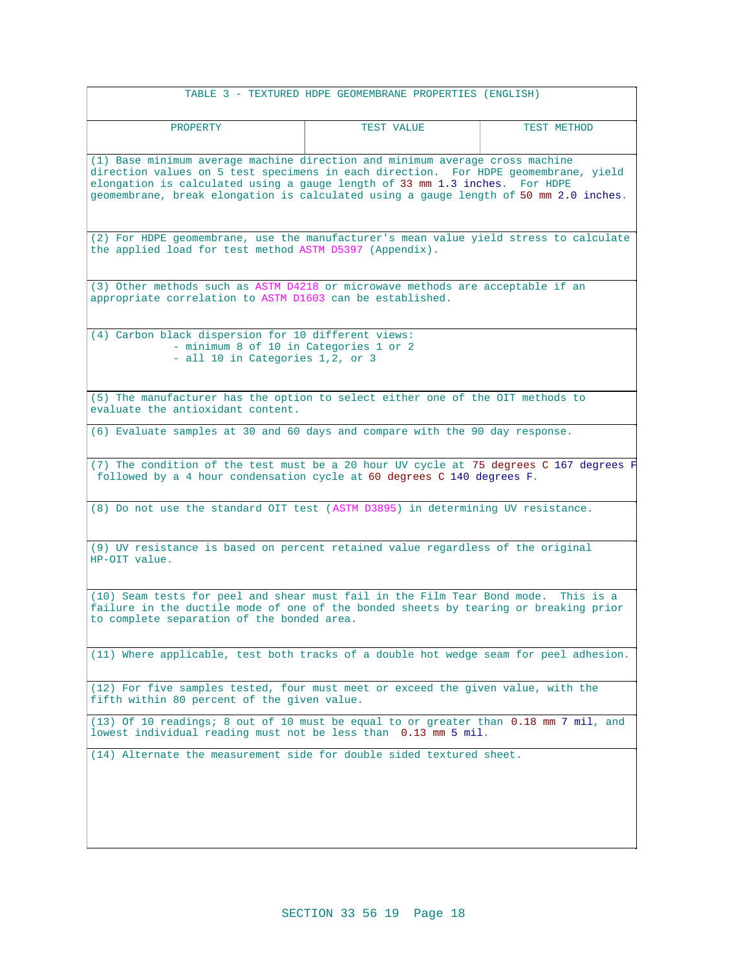| TABLE 3 - TEXTURED HDPE GEOMEMBRANE PROPERTIES (ENGLISH)                                                                                                                                                                                                                                                                                    |            |             |  |  |
|---------------------------------------------------------------------------------------------------------------------------------------------------------------------------------------------------------------------------------------------------------------------------------------------------------------------------------------------|------------|-------------|--|--|
| PROPERTY                                                                                                                                                                                                                                                                                                                                    | TEST VALUE | TEST METHOD |  |  |
| (1) Base minimum average machine direction and minimum average cross machine<br>direction values on 5 test specimens in each direction. For HDPE geomembrane, yield<br>elongation is calculated using a gauge length of 33 mm 1.3 inches. For HDPE<br>geomembrane, break elongation is calculated using a gauge length of 50 mm 2.0 inches. |            |             |  |  |
| (2) For HDPE geomembrane, use the manufacturer's mean value yield stress to calculate<br>the applied load for test method ASTM D5397 (Appendix).                                                                                                                                                                                            |            |             |  |  |
| (3) Other methods such as ASTM D4218 or microwave methods are acceptable if an<br>appropriate correlation to ASTM D1603 can be established.                                                                                                                                                                                                 |            |             |  |  |
| (4) Carbon black dispersion for 10 different views:<br>- minimum 8 of 10 in Categories 1 or 2<br>- all 10 in Categories 1,2, or 3                                                                                                                                                                                                           |            |             |  |  |
| (5) The manufacturer has the option to select either one of the OIT methods to<br>evaluate the antioxidant content.                                                                                                                                                                                                                         |            |             |  |  |
| (6) Evaluate samples at 30 and 60 days and compare with the 90 day response.                                                                                                                                                                                                                                                                |            |             |  |  |
| (7) The condition of the test must be a 20 hour UV cycle at 75 degrees C 167 degrees F<br>followed by a 4 hour condensation cycle at 60 degrees C 140 degrees F.                                                                                                                                                                            |            |             |  |  |
| (8) Do not use the standard OIT test (ASTM D3895) in determining UV resistance.                                                                                                                                                                                                                                                             |            |             |  |  |
| (9) UV resistance is based on percent retained value regardless of the original<br>HP-OIT value.                                                                                                                                                                                                                                            |            |             |  |  |
| (10) Seam tests for peel and shear must fail in the Film Tear Bond mode. This is a<br>failure in the ductile mode of one of the bonded sheets by tearing or breaking prior<br>to complete separation of the bonded area.                                                                                                                    |            |             |  |  |
| (11) Where applicable, test both tracks of a double hot wedge seam for peel adhesion.                                                                                                                                                                                                                                                       |            |             |  |  |
| (12) For five samples tested, four must meet or exceed the given value, with the<br>fifth within 80 percent of the given value.                                                                                                                                                                                                             |            |             |  |  |
| (13) Of 10 readings; 8 out of 10 must be equal to or greater than 0.18 mm 7 mil, and<br>lowest individual reading must not be less than 0.13 mm 5 mil.                                                                                                                                                                                      |            |             |  |  |
| (14) Alternate the measurement side for double sided textured sheet.                                                                                                                                                                                                                                                                        |            |             |  |  |
|                                                                                                                                                                                                                                                                                                                                             |            |             |  |  |
|                                                                                                                                                                                                                                                                                                                                             |            |             |  |  |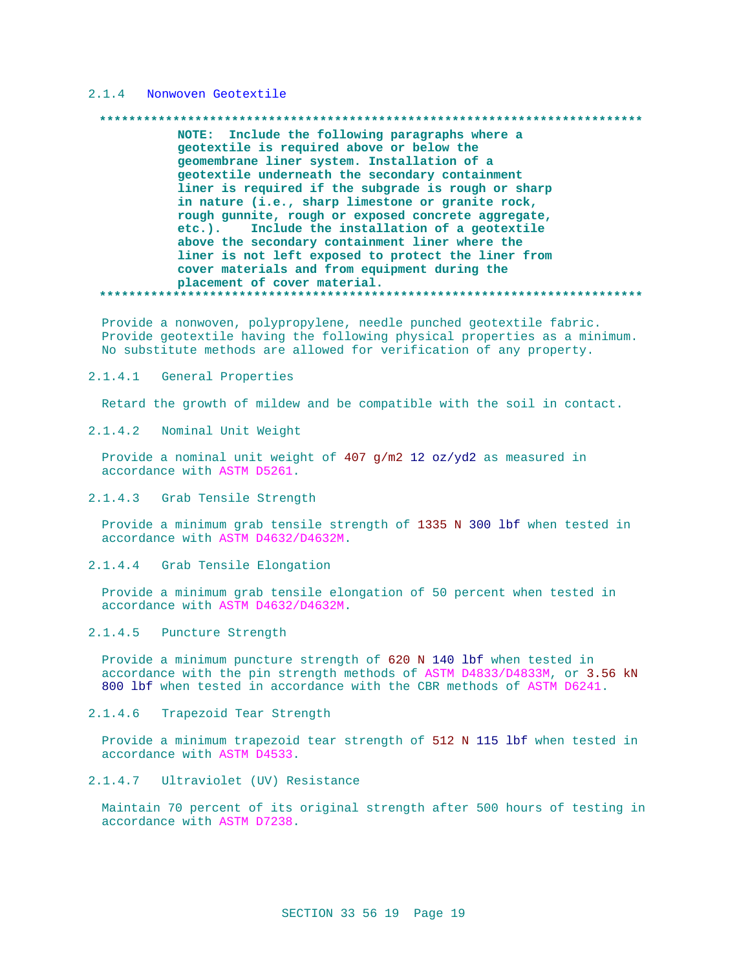#### $2.1.4$ Nonwoven Geotextile

#### 

NOTE: Include the following paragraphs where a geotextile is required above or below the geomembrane liner system. Installation of a geotextile underneath the secondary containment liner is required if the subgrade is rough or sharp in nature (i.e., sharp limestone or granite rock, rough gunnite, rough or exposed concrete aggregate,  $etc.$ ). Include the installation of a geotextile above the secondary containment liner where the liner is not left exposed to protect the liner from cover materials and from equipment during the placement of cover material. 

Provide a nonwoven, polypropylene, needle punched geotextile fabric. Provide geotextile having the following physical properties as a minimum. No substitute methods are allowed for verification of any property.

 $2.1.4.1$ General Properties

Retard the growth of mildew and be compatible with the soil in contact.

2.1.4.2 Nominal Unit Weight

Provide a nominal unit weight of 407 g/m2 12 oz/yd2 as measured in accordance with ASTM D5261.

2.1.4.3 Grab Tensile Strength

Provide a minimum grab tensile strength of 1335 N 300 lbf when tested in accordance with ASTM D4632/D4632M.

 $2.1.4.4$ Grab Tensile Elongation

Provide a minimum grab tensile elongation of 50 percent when tested in accordance with ASTM D4632/D4632M.

2.1.4.5 Puncture Strength

Provide a minimum puncture strength of 620 N 140 lbf when tested in accordance with the pin strength methods of ASTM D4833/D4833M, or 3.56 kN 800 lbf when tested in accordance with the CBR methods of ASTM D6241.

 $2.1.4.6$ Trapezoid Tear Strength

Provide a minimum trapezoid tear strength of 512 N 115 lbf when tested in accordance with ASTM D4533.

2.1.4.7 Ultraviolet (UV) Resistance

Maintain 70 percent of its original strength after 500 hours of testing in accordance with ASTM D7238.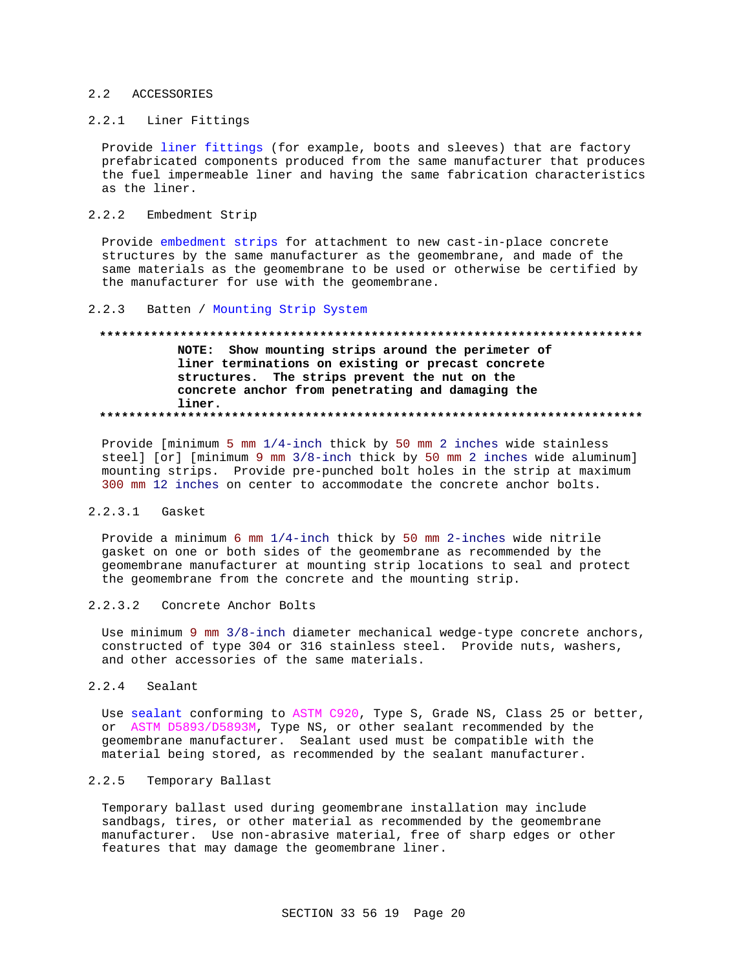#### 2.2 ACCESSORIES

# 2.2.1 Liner Fittings

Provide liner fittings (for example, boots and sleeves) that are factory prefabricated components produced from the same manufacturer that produces the fuel impermeable liner and having the same fabrication characteristics as the liner.

#### $2.2.2$ Embedment Strip

Provide embedment strips for attachment to new cast-in-place concrete structures by the same manufacturer as the geomembrane, and made of the same materials as the geomembrane to be used or otherwise be certified by the manufacturer for use with the geomembrane.

#### $2.2.3$ Batten / Mounting Strip System

# 

NOTE: Show mounting strips around the perimeter of liner terminations on existing or precast concrete structures. The strips prevent the nut on the concrete anchor from penetrating and damaging the liner. 

Provide [minimum 5 mm 1/4-inch thick by 50 mm 2 inches wide stainless steel] [or] [minimum 9 mm 3/8-inch thick by 50 mm 2 inches wide aluminum] mounting strips. Provide pre-punched bolt holes in the strip at maximum 300 mm 12 inches on center to accommodate the concrete anchor bolts.

### 2.2.3.1 Gasket

Provide a minimum 6 mm 1/4-inch thick by 50 mm 2-inches wide nitrile gasket on one or both sides of the geomembrane as recommended by the geomembrane manufacturer at mounting strip locations to seal and protect the geomembrane from the concrete and the mounting strip.

#### $2.2.3.2$ Concrete Anchor Bolts

Use minimum 9 mm 3/8-inch diameter mechanical wedge-type concrete anchors, constructed of type 304 or 316 stainless steel. Provide nuts, washers, and other accessories of the same materials.

#### $2.2.4$ Sealant

Use sealant conforming to ASTM C920, Type S, Grade NS, Class 25 or better, or ASTM D5893/D5893M, Type NS, or other sealant recommended by the geomembrane manufacturer. Sealant used must be compatible with the material being stored, as recommended by the sealant manufacturer.

#### $2.2.5$ Temporary Ballast

Temporary ballast used during geomembrane installation may include sandbags, tires, or other material as recommended by the geomembrane manufacturer. Use non-abrasive material, free of sharp edges or other features that may damage the geomembrane liner.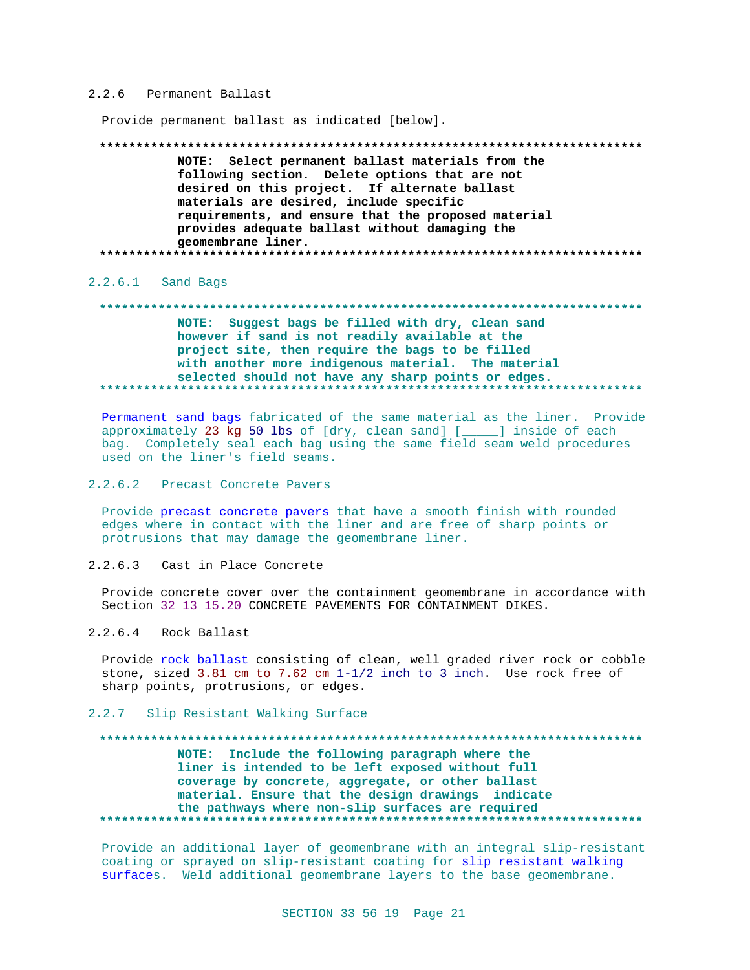#### $2, 2, 6$ Permanent Ballast

Provide permanent ballast as indicated [below].

NOTE: Select permanent ballast materials from the following section. Delete options that are not desired on this project. If alternate ballast materials are desired, include specific requirements, and ensure that the proposed material provides adequate ballast without damaging the geomembrane liner. 

### 2.2.6.1 Sand Bags

#### 

# NOTE: Suggest bags be filled with dry, clean sand however if sand is not readily available at the project site, then require the bags to be filled with another more indigenous material. The material selected should not have any sharp points or edges.

Permanent sand bags fabricated of the same material as the liner. Provide approximately 23 kg 50 lbs of [dry, clean sand] [\_\_\_\_] inside of each bag. Completely seal each bag using the same field seam weld procedures used on the liner's field seams.

# 2.2.6.2 Precast Concrete Pavers

Provide precast concrete pavers that have a smooth finish with rounded edges where in contact with the liner and are free of sharp points or protrusions that may damage the geomembrane liner.

 $2.2.6.3$ Cast in Place Concrete

Provide concrete cover over the containment geomembrane in accordance with Section 32 13 15.20 CONCRETE PAVEMENTS FOR CONTAINMENT DIKES.

 $2.2.6.4$ Rock Ballast

Provide rock ballast consisting of clean, well graded river rock or cobble stone, sized 3.81 cm to 7.62 cm 1-1/2 inch to 3 inch. Use rock free of sharp points, protrusions, or edges.

#### 2.2.7 Slip Resistant Walking Surface

# NOTE: Include the following paragraph where the liner is intended to be left exposed without full coverage by concrete, aggregate, or other ballast material. Ensure that the design drawings indicate the pathways where non-slip surfaces are required

Provide an additional layer of geomembrane with an integral slip-resistant coating or sprayed on slip-resistant coating for slip resistant walking surfaces. Weld additional geomembrane layers to the base geomembrane.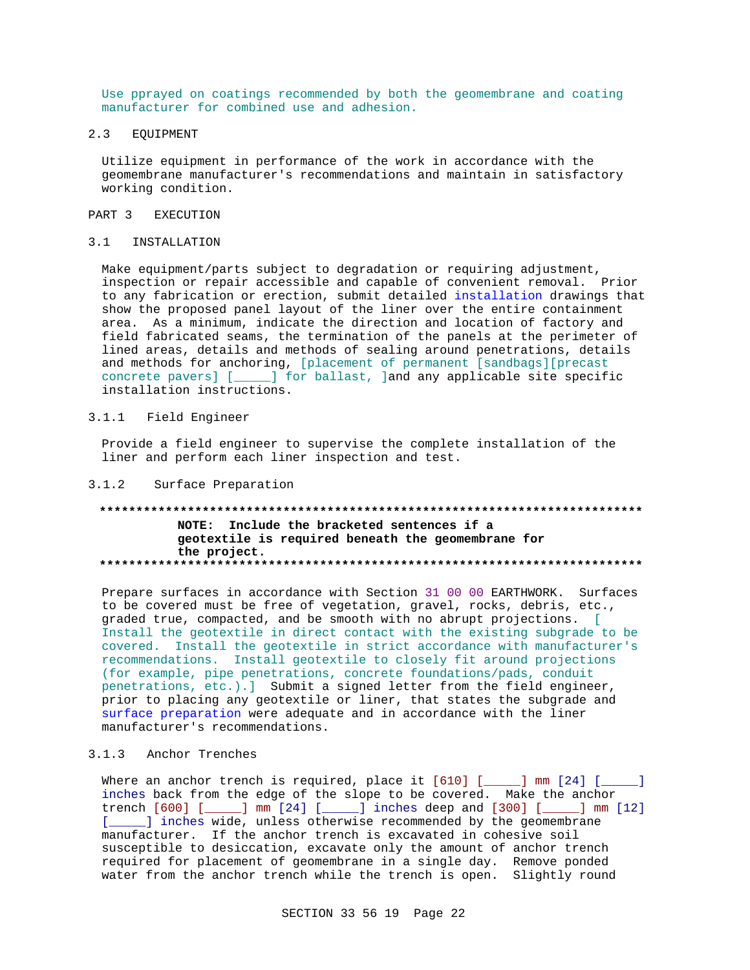Use pprayed on coatings recommended by both the geomembrane and coating manufacturer for combined use and adhesion.

# 2.3 EQUIPMENT

Utilize equipment in performance of the work in accordance with the geomembrane manufacturer's recommendations and maintain in satisfactory working condition.

# PART 3 EXECUTION

### 3.1 INSTALLATION

Make equipment/parts subject to degradation or requiring adjustment, inspection or repair accessible and capable of convenient removal. Prior to any fabrication or erection, submit detailed installation drawings that show the proposed panel layout of the liner over the entire containment area. As a minimum, indicate the direction and location of factory and field fabricated seams, the termination of the panels at the perimeter of lined areas, details and methods of sealing around penetrations, details and methods for anchoring, [placement of permanent [sandbags][precast concrete pavers] [\_\_\_\_\_] for ballast, ]and any applicable site specific installation instructions.

## 3.1.1 Field Engineer

Provide a field engineer to supervise the complete installation of the liner and perform each liner inspection and test.

## 3.1.2 Surface Preparation

## **\*\*\*\*\*\*\*\*\*\*\*\*\*\*\*\*\*\*\*\*\*\*\*\*\*\*\*\*\*\*\*\*\*\*\*\*\*\*\*\*\*\*\*\*\*\*\*\*\*\*\*\*\*\*\*\*\*\*\*\*\*\*\*\*\*\*\*\*\*\*\*\*\*\* NOTE: Include the bracketed sentences if a geotextile is required beneath the geomembrane for the project. \*\*\*\*\*\*\*\*\*\*\*\*\*\*\*\*\*\*\*\*\*\*\*\*\*\*\*\*\*\*\*\*\*\*\*\*\*\*\*\*\*\*\*\*\*\*\*\*\*\*\*\*\*\*\*\*\*\*\*\*\*\*\*\*\*\*\*\*\*\*\*\*\*\***

Prepare surfaces in accordance with Section 31 00 00 EARTHWORK. Surfaces to be covered must be free of vegetation, gravel, rocks, debris, etc., graded true, compacted, and be smooth with no abrupt projections. [ Install the geotextile in direct contact with the existing subgrade to be covered. Install the geotextile in strict accordance with manufacturer's recommendations. Install geotextile to closely fit around projections (for example, pipe penetrations, concrete foundations/pads, conduit penetrations, etc.).] Submit a signed letter from the field engineer, prior to placing any geotextile or liner, that states the subgrade and surface preparation were adequate and in accordance with the liner manufacturer's recommendations.

### 3.1.3 Anchor Trenches

Where an anchor trench is required, place it  $[610]$  [\_\_\_\_] mm  $[24]$  [\_\_\_\_] inches back from the edge of the slope to be covered. Make the anchor trench [600] [\_\_\_\_\_] mm [24] [\_\_\_\_\_] inches deep and [300] [\_\_\_\_\_] mm [12] [**100**] inches wide, unless otherwise recommended by the geomembrane manufacturer. If the anchor trench is excavated in cohesive soil susceptible to desiccation, excavate only the amount of anchor trench required for placement of geomembrane in a single day. Remove ponded water from the anchor trench while the trench is open. Slightly round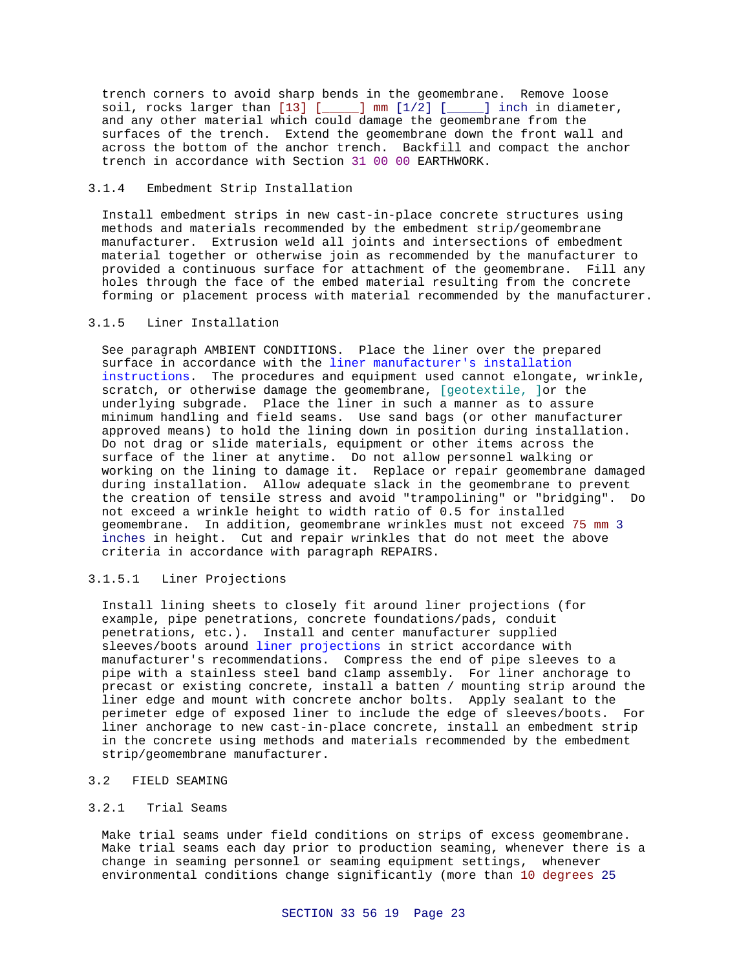trench corners to avoid sharp bends in the geomembrane. Remove loose soil, rocks larger than [13] [\_\_\_\_\_] mm [1/2] [\_\_\_\_\_] inch in diameter, and any other material which could damage the geomembrane from the surfaces of the trench. Extend the geomembrane down the front wall and across the bottom of the anchor trench. Backfill and compact the anchor trench in accordance with Section 31 00 00 EARTHWORK.

### 3.1.4 Embedment Strip Installation

Install embedment strips in new cast-in-place concrete structures using methods and materials recommended by the embedment strip/geomembrane manufacturer. Extrusion weld all joints and intersections of embedment material together or otherwise join as recommended by the manufacturer to provided a continuous surface for attachment of the geomembrane. Fill any holes through the face of the embed material resulting from the concrete forming or placement process with material recommended by the manufacturer.

### 3.1.5 Liner Installation

See paragraph AMBIENT CONDITIONS. Place the liner over the prepared surface in accordance with the liner manufacturer's installation instructions. The procedures and equipment used cannot elongate, wrinkle, scratch, or otherwise damage the geomembrane, [geotextile, ]or the underlying subgrade. Place the liner in such a manner as to assure minimum handling and field seams. Use sand bags (or other manufacturer approved means) to hold the lining down in position during installation. Do not drag or slide materials, equipment or other items across the surface of the liner at anytime. Do not allow personnel walking or working on the lining to damage it. Replace or repair geomembrane damaged during installation. Allow adequate slack in the geomembrane to prevent the creation of tensile stress and avoid "trampolining" or "bridging". Do not exceed a wrinkle height to width ratio of 0.5 for installed geomembrane. In addition, geomembrane wrinkles must not exceed 75 mm 3 inches in height. Cut and repair wrinkles that do not meet the above criteria in accordance with paragraph REPAIRS.

### 3.1.5.1 Liner Projections

Install lining sheets to closely fit around liner projections (for example, pipe penetrations, concrete foundations/pads, conduit penetrations, etc.). Install and center manufacturer supplied sleeves/boots around liner projections in strict accordance with manufacturer's recommendations. Compress the end of pipe sleeves to a pipe with a stainless steel band clamp assembly. For liner anchorage to precast or existing concrete, install a batten / mounting strip around the liner edge and mount with concrete anchor bolts. Apply sealant to the perimeter edge of exposed liner to include the edge of sleeves/boots. For liner anchorage to new cast-in-place concrete, install an embedment strip in the concrete using methods and materials recommended by the embedment strip/geomembrane manufacturer.

### 3.2 FIELD SEAMING

### 3.2.1 Trial Seams

Make trial seams under field conditions on strips of excess geomembrane. Make trial seams each day prior to production seaming, whenever there is a change in seaming personnel or seaming equipment settings, whenever environmental conditions change significantly (more than 10 degrees 25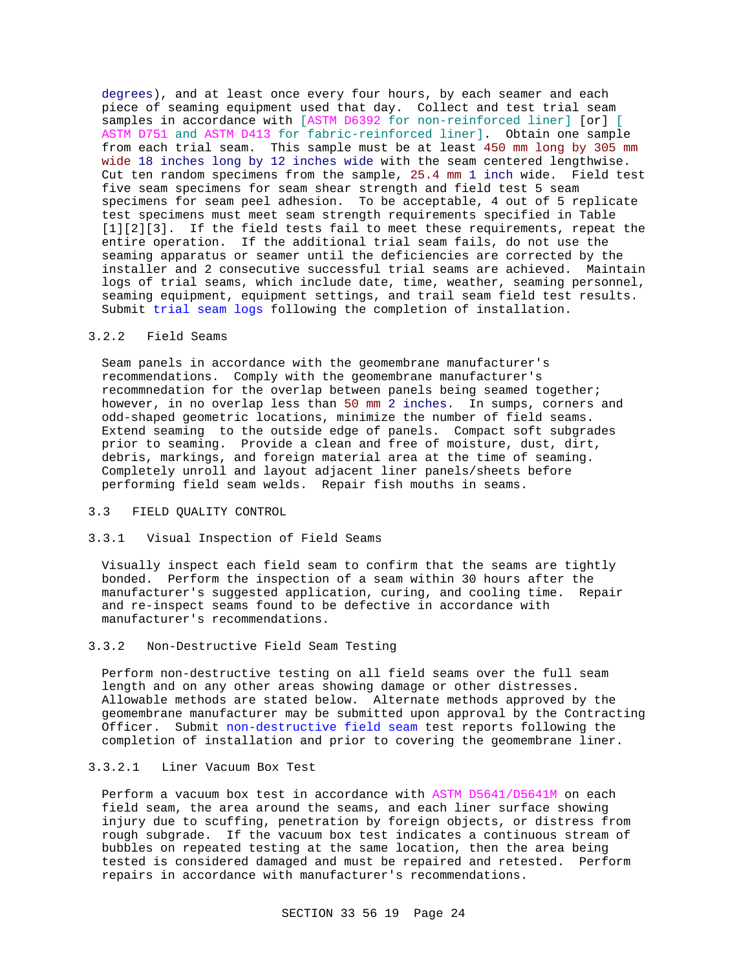degrees), and at least once every four hours, by each seamer and each piece of seaming equipment used that day. Collect and test trial seam samples in accordance with [ASTM D6392 for non-reinforced liner] [or] [ ASTM D751 and ASTM D413 for fabric-reinforced liner]. Obtain one sample from each trial seam. This sample must be at least 450 mm long by 305 mm wide 18 inches long by 12 inches wide with the seam centered lengthwise. Cut ten random specimens from the sample, 25.4 mm 1 inch wide. Field test five seam specimens for seam shear strength and field test 5 seam specimens for seam peel adhesion. To be acceptable, 4 out of 5 replicate test specimens must meet seam strength requirements specified in Table [1][2][3]. If the field tests fail to meet these requirements, repeat the entire operation. If the additional trial seam fails, do not use the seaming apparatus or seamer until the deficiencies are corrected by the installer and 2 consecutive successful trial seams are achieved. Maintain logs of trial seams, which include date, time, weather, seaming personnel, seaming equipment, equipment settings, and trail seam field test results. Submit trial seam logs following the completion of installation.

### 3.2.2 Field Seams

Seam panels in accordance with the geomembrane manufacturer's recommendations. Comply with the geomembrane manufacturer's recommnedation for the overlap between panels being seamed together; however, in no overlap less than 50 mm 2 inches. In sumps, corners and odd-shaped geometric locations, minimize the number of field seams. Extend seaming to the outside edge of panels. Compact soft subgrades prior to seaming. Provide a clean and free of moisture, dust, dirt, debris, markings, and foreign material area at the time of seaming. Completely unroll and layout adjacent liner panels/sheets before performing field seam welds. Repair fish mouths in seams.

3.3 FIELD QUALITY CONTROL

### 3.3.1 Visual Inspection of Field Seams

Visually inspect each field seam to confirm that the seams are tightly bonded. Perform the inspection of a seam within 30 hours after the manufacturer's suggested application, curing, and cooling time. Repair and re-inspect seams found to be defective in accordance with manufacturer's recommendations.

### 3.3.2 Non-Destructive Field Seam Testing

Perform non-destructive testing on all field seams over the full seam length and on any other areas showing damage or other distresses. Allowable methods are stated below. Alternate methods approved by the geomembrane manufacturer may be submitted upon approval by the Contracting Officer. Submit non-destructive field seam test reports following the completion of installation and prior to covering the geomembrane liner.

# 3.3.2.1 Liner Vacuum Box Test

Perform a vacuum box test in accordance with ASTM D5641/D5641M on each field seam, the area around the seams, and each liner surface showing injury due to scuffing, penetration by foreign objects, or distress from rough subgrade. If the vacuum box test indicates a continuous stream of bubbles on repeated testing at the same location, then the area being tested is considered damaged and must be repaired and retested. Perform repairs in accordance with manufacturer's recommendations.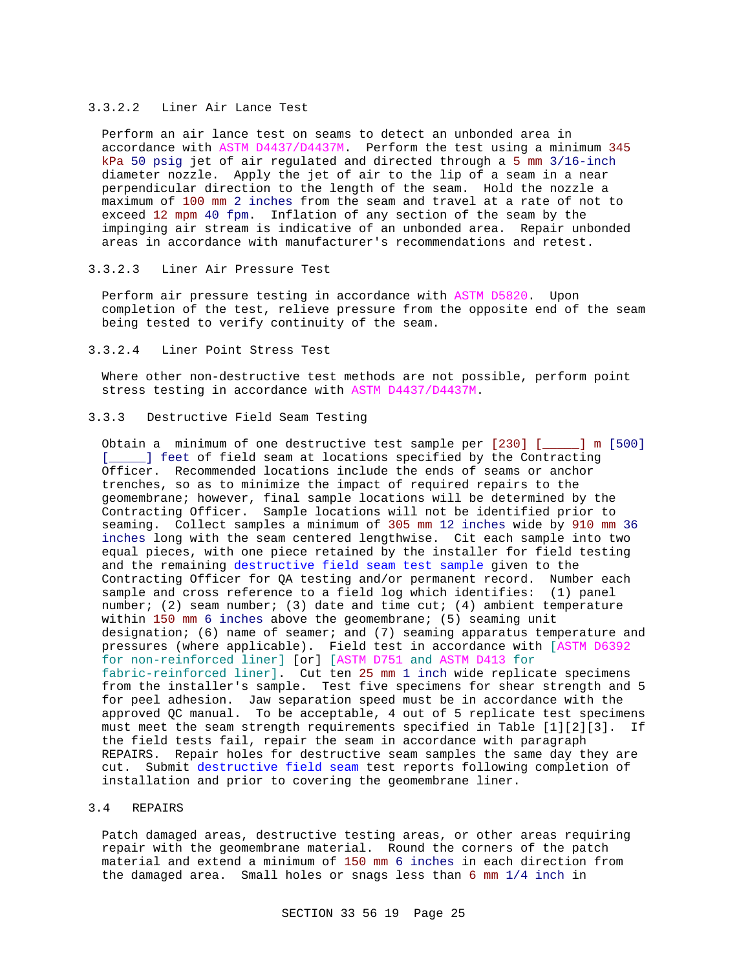### 3.3.2.2 Liner Air Lance Test

Perform an air lance test on seams to detect an unbonded area in accordance with ASTM D4437/D4437M. Perform the test using a minimum 345 kPa 50 psig jet of air regulated and directed through a 5 mm 3/16-inch diameter nozzle. Apply the jet of air to the lip of a seam in a near perpendicular direction to the length of the seam. Hold the nozzle a maximum of 100 mm 2 inches from the seam and travel at a rate of not to exceed 12 mpm 40 fpm. Inflation of any section of the seam by the impinging air stream is indicative of an unbonded area. Repair unbonded areas in accordance with manufacturer's recommendations and retest.

# 3.3.2.3 Liner Air Pressure Test

Perform air pressure testing in accordance with ASTM D5820. Upon completion of the test, relieve pressure from the opposite end of the seam being tested to verify continuity of the seam.

### 3.3.2.4 Liner Point Stress Test

Where other non-destructive test methods are not possible, perform point stress testing in accordance with ASTM D4437/D4437M.

### 3.3.3 Destructive Field Seam Testing

Obtain a minimum of one destructive test sample per [230] [\_\_\_\_\_] m [500] [ $\Box$ ] feet of field seam at locations specified by the Contracting Officer. Recommended locations include the ends of seams or anchor trenches, so as to minimize the impact of required repairs to the geomembrane; however, final sample locations will be determined by the Contracting Officer. Sample locations will not be identified prior to seaming. Collect samples a minimum of 305 mm 12 inches wide by 910 mm 36 inches long with the seam centered lengthwise. Cit each sample into two equal pieces, with one piece retained by the installer for field testing and the remaining destructive field seam test sample given to the Contracting Officer for QA testing and/or permanent record. Number each sample and cross reference to a field log which identifies: (1) panel number; (2) seam number; (3) date and time cut; (4) ambient temperature within 150 mm 6 inches above the geomembrane; (5) seaming unit designation; (6) name of seamer; and (7) seaming apparatus temperature and pressures (where applicable). Field test in accordance with [ASTM D6392 for non-reinforced liner] [or] [ASTM D751 and ASTM D413 for fabric-reinforced liner]. Cut ten 25 mm 1 inch wide replicate specimens from the installer's sample. Test five specimens for shear strength and 5 for peel adhesion. Jaw separation speed must be in accordance with the approved QC manual. To be acceptable, 4 out of 5 replicate test specimens must meet the seam strength requirements specified in Table [1][2][3]. If the field tests fail, repair the seam in accordance with paragraph REPAIRS. Repair holes for destructive seam samples the same day they are cut. Submit destructive field seam test reports following completion of installation and prior to covering the geomembrane liner.

### 3.4 REPAIRS

Patch damaged areas, destructive testing areas, or other areas requiring repair with the geomembrane material. Round the corners of the patch material and extend a minimum of 150 mm 6 inches in each direction from the damaged area. Small holes or snags less than 6 mm 1/4 inch in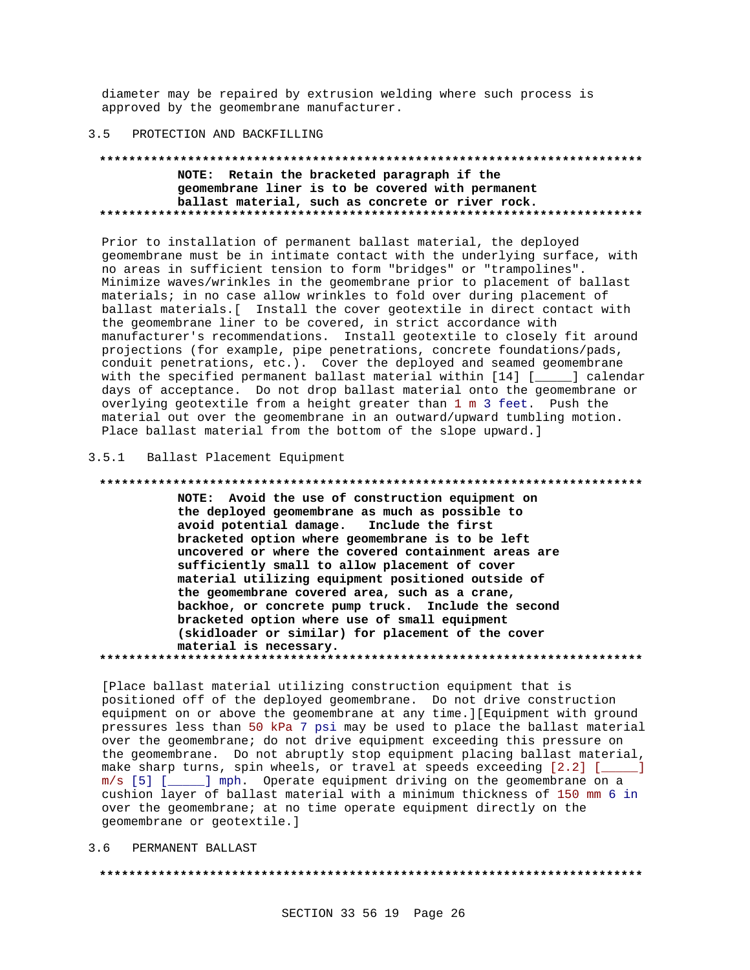diameter may be repaired by extrusion welding where such process is approved by the geomembrane manufacturer.

#### 3.5 PROTECTION AND BACKFILLING

# **\*\*\*\*\*\*\*\*\*\*\*\*\*\*\*\*\*\*\*\*\*\*\*\*\*\*\*\*\*\*\*\*\*\*\*\*\*\*\*\*\*\*\*\*\*\*\*\*\*\*\*\*\*\*\*\*\*\*\*\*\*\*\*\*\*\*\*\*\*\*\*\*\*\* NOTE: Retain the bracketed paragraph if the geomembrane liner is to be covered with permanent ballast material, such as concrete or river rock. \*\*\*\*\*\*\*\*\*\*\*\*\*\*\*\*\*\*\*\*\*\*\*\*\*\*\*\*\*\*\*\*\*\*\*\*\*\*\*\*\*\*\*\*\*\*\*\*\*\*\*\*\*\*\*\*\*\*\*\*\*\*\*\*\*\*\*\*\*\*\*\*\*\***

Prior to installation of permanent ballast material, the deployed geomembrane must be in intimate contact with the underlying surface, with no areas in sufficient tension to form "bridges" or "trampolines". Minimize waves/wrinkles in the geomembrane prior to placement of ballast materials; in no case allow wrinkles to fold over during placement of ballast materials.[ Install the cover geotextile in direct contact with the geomembrane liner to be covered, in strict accordance with manufacturer's recommendations. Install geotextile to closely fit around projections (for example, pipe penetrations, concrete foundations/pads, conduit penetrations, etc.). Cover the deployed and seamed geomembrane with the specified permanent ballast material within [14] [\_\_\_\_] calendar days of acceptance. Do not drop ballast material onto the geomembrane or overlying geotextile from a height greater than 1 m 3 feet. Push the material out over the geomembrane in an outward/upward tumbling motion. Place ballast material from the bottom of the slope upward.]

3.5.1 Ballast Placement Equipment

#### **\*\*\*\*\*\*\*\*\*\*\*\*\*\*\*\*\*\*\*\*\*\*\*\*\*\*\*\*\*\*\*\*\*\*\*\*\*\*\*\*\*\*\*\*\*\*\*\*\*\*\*\*\*\*\*\*\*\*\*\*\*\*\*\*\*\*\*\*\*\*\*\*\*\***

**NOTE: Avoid the use of construction equipment on the deployed geomembrane as much as possible to avoid potential damage. Include the first bracketed option where geomembrane is to be left uncovered or where the covered containment areas are sufficiently small to allow placement of cover material utilizing equipment positioned outside of the geomembrane covered area, such as a crane, backhoe, or concrete pump truck. Include the second bracketed option where use of small equipment (skidloader or similar) for placement of the cover material is necessary. \*\*\*\*\*\*\*\*\*\*\*\*\*\*\*\*\*\*\*\*\*\*\*\*\*\*\*\*\*\*\*\*\*\*\*\*\*\*\*\*\*\*\*\*\*\*\*\*\*\*\*\*\*\*\*\*\*\*\*\*\*\*\*\*\*\*\*\*\*\*\*\*\*\***

[Place ballast material utilizing construction equipment that is positioned off of the deployed geomembrane. Do not drive construction equipment on or above the geomembrane at any time.][Equipment with ground pressures less than 50 kPa 7 psi may be used to place the ballast material over the geomembrane; do not drive equipment exceeding this pressure on the geomembrane. Do not abruptly stop equipment placing ballast material, make sharp turns, spin wheels, or travel at speeds exceeding [2.2] [\_\_\_\_\_\_ m/s [5] [\_\_\_\_\_] mph. Operate equipment driving on the geomembrane on a cushion layer of ballast material with a minimum thickness of 150 mm 6 in over the geomembrane; at no time operate equipment directly on the geomembrane or geotextile.]

## 3.6 PERMANENT BALLAST

#### **\*\*\*\*\*\*\*\*\*\*\*\*\*\*\*\*\*\*\*\*\*\*\*\*\*\*\*\*\*\*\*\*\*\*\*\*\*\*\*\*\*\*\*\*\*\*\*\*\*\*\*\*\*\*\*\*\*\*\*\*\*\*\*\*\*\*\*\*\*\*\*\*\*\***